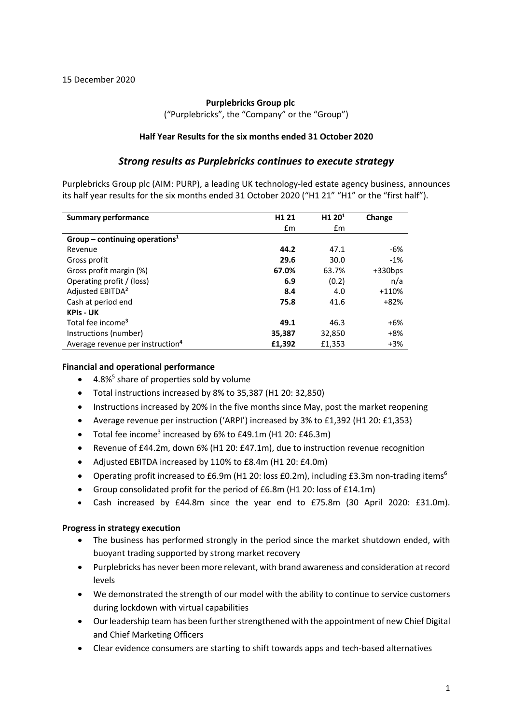### **Purplebricks Group plc**

("Purplebricks", the "Company" or the "Group")

### **Half Year Results for the six months ended 31 October 2020**

## *Strong results as Purplebricks continues to execute strategy*

Purplebricks Group plc (AIM: PURP), a leading UK technology-led estate agency business, announces its half year results for the six months ended 31 October 2020 ("H1 21" "H1" or the "first half").

| <b>Summary performance</b>                   | H <sub>1</sub> 21 | H <sub>1</sub> 20 <sup>1</sup> | Change    |
|----------------------------------------------|-------------------|--------------------------------|-----------|
|                                              | £m                | £m                             |           |
| Group – continuing operations <sup>1</sup>   |                   |                                |           |
| Revenue                                      | 44.2              | 47.1                           | -6%       |
| Gross profit                                 | 29.6              | 30.0                           | $-1%$     |
| Gross profit margin (%)                      | 67.0%             | 63.7%                          | $+330bps$ |
| Operating profit / (loss)                    | 6.9               | (0.2)                          | n/a       |
| Adjusted EBITDA <sup>2</sup>                 | 8.4               | 4.0                            | +110%     |
| Cash at period end                           | 75.8              | 41.6                           | $+82%$    |
| <b>KPIs - UK</b>                             |                   |                                |           |
| Total fee income <sup>3</sup>                | 49.1              | 46.3                           | +6%       |
| Instructions (number)                        | 35,387            | 32,850                         | $+8%$     |
| Average revenue per instruction <sup>4</sup> | £1,392            | £1,353                         | $+3%$     |

### **Financial and operational performance**

- $\bullet$  4.8%<sup>5</sup> share of properties sold by volume
- Total instructions increased by 8% to 35,387 (H1 20: 32,850)
- Instructions increased by 20% in the five months since May, post the market reopening
- Average revenue per instruction ('ARPI') increased by 3% to £1,392 (H1 20: £1,353)
- Total fee income<sup>3</sup> increased by  $6\%$  to  $£49.1$ m ( $H1$  20:  $£46.3$ m)
- Revenue of £44.2m, down 6% (H1 20: £47.1m), due to instruction revenue recognition
- Adjusted EBITDA increased by 110% to £8.4m (H1 20: £4.0m)
- Operating profit increased to £6.9m (H1 20: loss  $E(0.2m)$ , including  $E(3.3m)$  non-trading items<sup>6</sup>
- Group consolidated profit for the period of £6.8m (H1 20: loss of £14.1m)
- Cash increased by £44.8m since the year end to £75.8m (30 April 2020: £31.0m).

#### **Progress in strategy execution**

- The business has performed strongly in the period since the market shutdown ended, with buoyant trading supported by strong market recovery
- Purplebricks has never been more relevant, with brand awareness and consideration at record levels
- We demonstrated the strength of our model with the ability to continue to service customers during lockdown with virtual capabilities
- Our leadership team has been further strengthened with the appointment of new Chief Digital and Chief Marketing Officers
- Clear evidence consumers are starting to shift towards apps and tech-based alternatives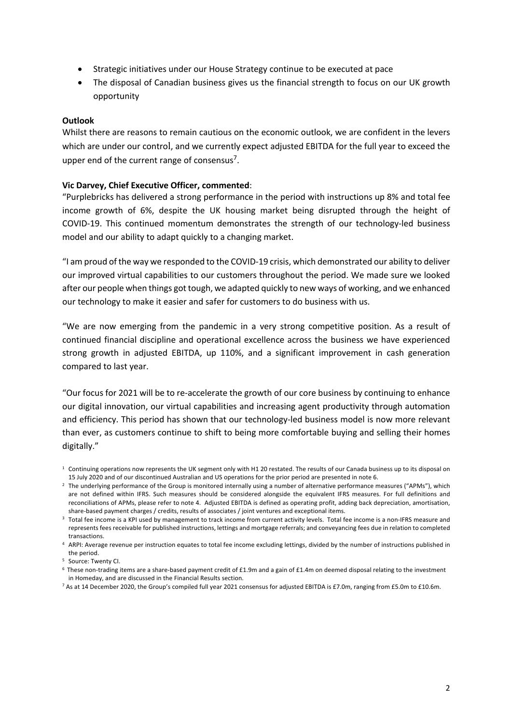- Strategic initiatives under our House Strategy continue to be executed at pace
- The disposal of Canadian business gives us the financial strength to focus on our UK growth opportunity

## **Outlook**

Whilst there are reasons to remain cautious on the economic outlook, we are confident in the levers which are under our control, and we currently expect adjusted EBITDA for the full year to exceed the upper end of the current range of consensus<sup>7</sup>.

## **Vic Darvey, Chief Executive Officer, commented**:

"Purplebricks has delivered a strong performance in the period with instructions up 8% and total fee income growth of 6%, despite the UK housing market being disrupted through the height of COVID-19. This continued momentum demonstrates the strength of our technology-led business model and our ability to adapt quickly to a changing market.

"I am proud of the way we responded to the COVID-19 crisis, which demonstrated our ability to deliver our improved virtual capabilities to our customers throughout the period. We made sure we looked after our people when things got tough, we adapted quickly to new ways of working, and we enhanced our technology to make it easier and safer for customers to do business with us.

"We are now emerging from the pandemic in a very strong competitive position. As a result of continued financial discipline and operational excellence across the business we have experienced strong growth in adjusted EBITDA, up 110%, and a significant improvement in cash generation compared to last year.

"Our focus for 2021 will be to re-accelerate the growth of our core business by continuing to enhance our digital innovation, our virtual capabilities and increasing agent productivity through automation and efficiency. This period has shown that our technology-led business model is now more relevant than ever, as customers continue to shift to being more comfortable buying and selling their homes digitally."

 $1$  Continuing operations now represents the UK segment only with H1 20 restated. The results of our Canada business up to its disposal on 15 July 2020 and of our discontinued Australian and US operations for the prior period are presented in note 6.

<sup>&</sup>lt;sup>2</sup> The underlying performance of the Group is monitored internally using a number of alternative performance measures ("APMs"), which are not defined within IFRS. Such measures should be considered alongside the equivalent IFRS measures. For full definitions and reconciliations of APMs, please refer to note 4. Adjusted EBITDA is defined as operating profit, adding back depreciation, amortisation, share-based payment charges / credits, results of associates / joint ventures and exceptional items.

<sup>&</sup>lt;sup>3</sup> Total fee income is a KPI used by management to track income from current activity levels. Total fee income is a non-IFRS measure and represents fees receivable for published instructions, lettings and mortgage referrals; and conveyancing fees due in relation to completed transactions.

<sup>4</sup> ARPI: Average revenue per instruction equates to total fee income excluding lettings, divided by the number of instructions published in the period.

<sup>5</sup> Source: Twenty CI.

<sup>6</sup> These non-trading items are a share-based payment credit of £1.9m and a gain of £1.4m on deemed disposal relating to the investment in Homeday, and are discussed in the Financial Results section.

<sup>7</sup> As at 14 December 2020, the Group's compiled full year 2021 consensus for adjusted EBITDA is £7.0m, ranging from £5.0m to £10.6m.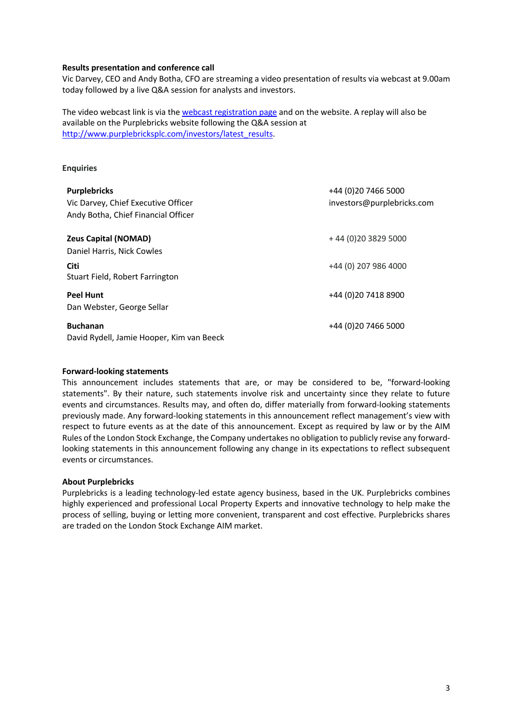#### **Results presentation and conference call**

Vic Darvey, CEO and Andy Botha, CFO are streaming a video presentation of results via webcast at 9.00am today followed by a live Q&A session for analysts and investors.

The video webcast link is via the webcast registration page and on the website. A replay will also be available on the Purplebricks website following the Q&A session at http://www.purplebricksplc.com/investors/latest\_results.

### **Enquiries**

| <b>Purplebricks</b><br>Vic Darvey, Chief Executive Officer<br>Andy Botha, Chief Financial Officer | +44 (0)20 7466 5000<br>investors@purplebricks.com |
|---------------------------------------------------------------------------------------------------|---------------------------------------------------|
| <b>Zeus Capital (NOMAD)</b><br>Daniel Harris, Nick Cowles                                         | +44 (0) 20 3829 5000                              |
| <b>Citi</b><br>Stuart Field, Robert Farrington                                                    | +44 (0) 207 986 4000                              |
| <b>Peel Hunt</b><br>Dan Webster, George Sellar                                                    | +44 (0) 20 7418 8900                              |
| <b>Buchanan</b><br>David Rydell, Jamie Hooper, Kim van Beeck                                      | +44 (0) 20 7466 5000                              |

#### **Forward-looking statements**

This announcement includes statements that are, or may be considered to be, "forward-looking statements". By their nature, such statements involve risk and uncertainty since they relate to future events and circumstances. Results may, and often do, differ materially from forward-looking statements previously made. Any forward-looking statements in this announcement reflect management's view with respect to future events as at the date of this announcement. Except as required by law or by the AIM Rules of the London Stock Exchange, the Company undertakes no obligation to publicly revise any forwardlooking statements in this announcement following any change in its expectations to reflect subsequent events or circumstances.

#### **About Purplebricks**

Purplebricks is a leading technology-led estate agency business, based in the UK. Purplebricks combines highly experienced and professional Local Property Experts and innovative technology to help make the process of selling, buying or letting more convenient, transparent and cost effective. Purplebricks shares are traded on the London Stock Exchange AIM market.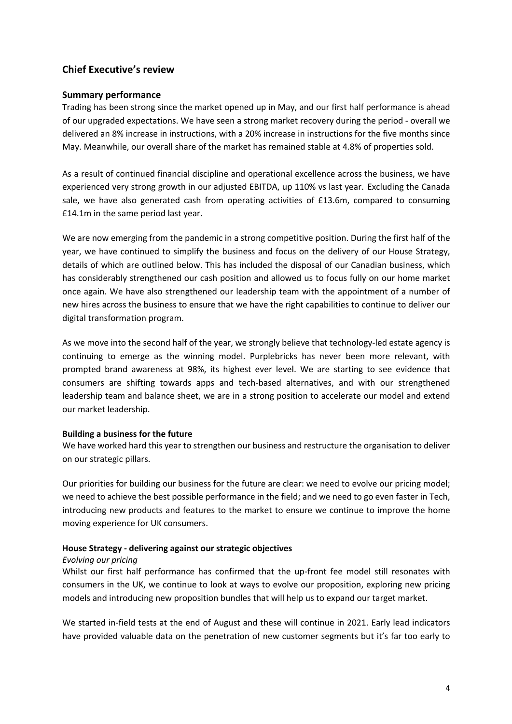# **Chief Executive's review**

## **Summary performance**

Trading has been strong since the market opened up in May, and our first half performance is ahead of our upgraded expectations. We have seen a strong market recovery during the period - overall we delivered an 8% increase in instructions, with a 20% increase in instructions for the five months since May. Meanwhile, our overall share of the market has remained stable at 4.8% of properties sold.

As a result of continued financial discipline and operational excellence across the business, we have experienced very strong growth in our adjusted EBITDA, up 110% vs last year. Excluding the Canada sale, we have also generated cash from operating activities of £13.6m, compared to consuming £14.1m in the same period last year.

We are now emerging from the pandemic in a strong competitive position. During the first half of the year, we have continued to simplify the business and focus on the delivery of our House Strategy, details of which are outlined below. This has included the disposal of our Canadian business, which has considerably strengthened our cash position and allowed us to focus fully on our home market once again. We have also strengthened our leadership team with the appointment of a number of new hires across the business to ensure that we have the right capabilities to continue to deliver our digital transformation program.

As we move into the second half of the year, we strongly believe that technology-led estate agency is continuing to emerge as the winning model. Purplebricks has never been more relevant, with prompted brand awareness at 98%, its highest ever level. We are starting to see evidence that consumers are shifting towards apps and tech-based alternatives, and with our strengthened leadership team and balance sheet, we are in a strong position to accelerate our model and extend our market leadership.

### **Building a business for the future**

We have worked hard this year to strengthen our business and restructure the organisation to deliver on our strategic pillars.

Our priorities for building our business for the future are clear: we need to evolve our pricing model; we need to achieve the best possible performance in the field; and we need to go even faster in Tech, introducing new products and features to the market to ensure we continue to improve the home moving experience for UK consumers.

### **House Strategy - delivering against our strategic objectives**

### *Evolving our pricing*

Whilst our first half performance has confirmed that the up-front fee model still resonates with consumers in the UK, we continue to look at ways to evolve our proposition, exploring new pricing models and introducing new proposition bundles that will help us to expand our target market.

We started in-field tests at the end of August and these will continue in 2021. Early lead indicators have provided valuable data on the penetration of new customer segments but it's far too early to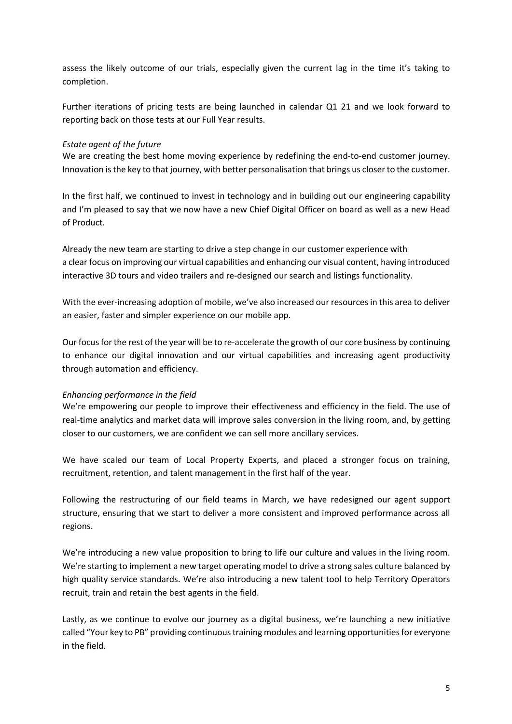assess the likely outcome of our trials, especially given the current lag in the time it's taking to completion.

Further iterations of pricing tests are being launched in calendar Q1 21 and we look forward to reporting back on those tests at our Full Year results.

### *Estate agent of the future*

We are creating the best home moving experience by redefining the end-to-end customer journey. Innovation is the key to that journey, with better personalisation that brings us closer to the customer.

In the first half, we continued to invest in technology and in building out our engineering capability and I'm pleased to say that we now have a new Chief Digital Officer on board as well as a new Head of Product.

Already the new team are starting to drive a step change in our customer experience with a clear focus on improving our virtual capabilities and enhancing our visual content, having introduced interactive 3D tours and video trailers and re-designed our search and listings functionality.

With the ever-increasing adoption of mobile, we've also increased our resources in this area to deliver an easier, faster and simpler experience on our mobile app.

Our focus for the rest of the year will be to re-accelerate the growth of our core business by continuing to enhance our digital innovation and our virtual capabilities and increasing agent productivity through automation and efficiency.

#### *Enhancing performance in the field*

We're empowering our people to improve their effectiveness and efficiency in the field. The use of real-time analytics and market data will improve sales conversion in the living room, and, by getting closer to our customers, we are confident we can sell more ancillary services.

We have scaled our team of Local Property Experts, and placed a stronger focus on training, recruitment, retention, and talent management in the first half of the year.

Following the restructuring of our field teams in March, we have redesigned our agent support structure, ensuring that we start to deliver a more consistent and improved performance across all regions.

We're introducing a new value proposition to bring to life our culture and values in the living room. We're starting to implement a new target operating model to drive a strong sales culture balanced by high quality service standards. We're also introducing a new talent tool to help Territory Operators recruit, train and retain the best agents in the field.

Lastly, as we continue to evolve our journey as a digital business, we're launching a new initiative called "Your key to PB" providing continuous training modules and learning opportunities for everyone in the field.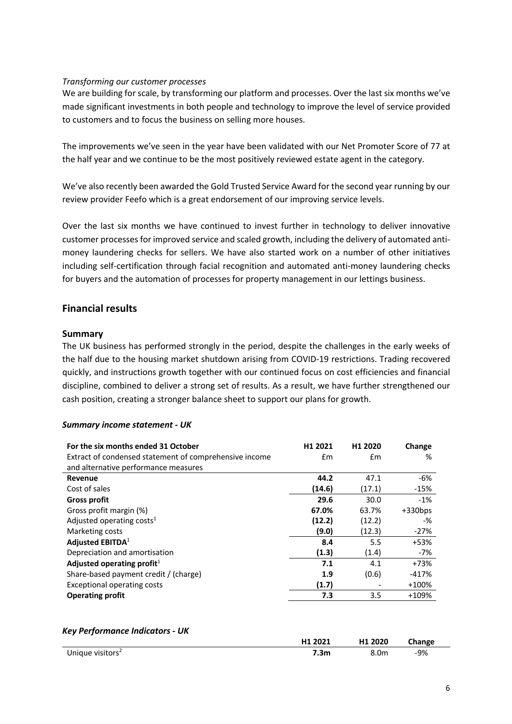## *Transforming our customer processes*

We are building for scale, by transforming our platform and processes. Over the last six months we've made significant investments in both people and technology to improve the level of service provided to customers and to focus the business on selling more houses.

The improvements we've seen in the year have been validated with our Net Promoter Score of 77 at the half year and we continue to be the most positively reviewed estate agent in the category.

We've also recently been awarded the Gold Trusted Service Award for the second year running by our review provider Feefo which is a great endorsement of our improving service levels.

Over the last six months we have continued to invest further in technology to deliver innovative customer processes for improved service and scaled growth, including the delivery of automated antimoney laundering checks for sellers. We have also started work on a number of other initiatives including self-certification through facial recognition and automated anti-money laundering checks for buyers and the automation of processes for property management in our lettings business.

# **Financial results**

### **Summary**

The UK business has performed strongly in the period, despite the challenges in the early weeks of the half due to the housing market shutdown arising from COVID-19 restrictions. Trading recovered quickly, and instructions growth together with our continued focus on cost efficiencies and financial discipline, combined to deliver a strong set of results. As a result, we have further strengthened our cash position, creating a stronger balance sheet to support our plans for growth.

### *Summary income statement - UK*

| For the six months ended 31 October<br>Extract of condensed statement of comprehensive income<br>and alternative performance measures | H <sub>1</sub> 2021<br>£m | H <sub>1</sub> 2020<br>£m | Change<br>% |
|---------------------------------------------------------------------------------------------------------------------------------------|---------------------------|---------------------------|-------------|
| Revenue                                                                                                                               | 44.2                      | 47.1                      | -6%         |
| Cost of sales                                                                                                                         | (14.6)                    | (17.1)                    | $-15%$      |
| <b>Gross profit</b>                                                                                                                   | 29.6                      | 30.0                      | $-1%$       |
| Gross profit margin (%)                                                                                                               | 67.0%                     | 63.7%                     | $+330bps$   |
| Adjusted operating costs <sup>1</sup>                                                                                                 | (12.2)                    | (12.2)                    | -%          |
| Marketing costs                                                                                                                       | (9.0)                     | (12.3)                    | $-27%$      |
| Adjusted EBITDA <sup>1</sup>                                                                                                          | 8.4                       | 5.5                       | +53%        |
| Depreciation and amortisation                                                                                                         | (1.3)                     | (1.4)                     | -7%         |
| Adjusted operating profit $1$                                                                                                         | 7.1                       | 4.1                       | $+73%$      |
| Share-based payment credit / (charge)                                                                                                 | 1.9                       | (0.6)                     | $-417%$     |
| <b>Exceptional operating costs</b>                                                                                                    | (1.7)                     |                           | $+100%$     |
| <b>Operating profit</b>                                                                                                               | 7.3                       | 3.5                       | +109%       |

### *Key Performance Indicators - UK*

|                              | H1 2021 | H1 2020 | Change |
|------------------------------|---------|---------|--------|
| Unique visitors <sup>2</sup> | 7.3m    | 8.0m    | $-9%$  |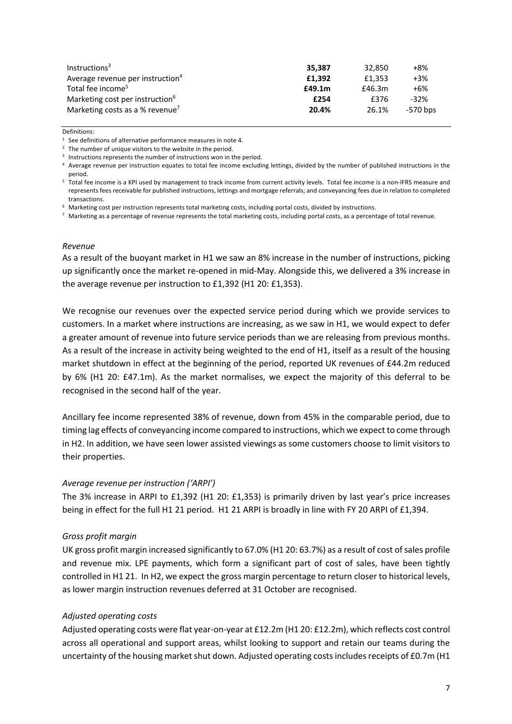| Instructions <sup>3</sup>                    | 35.387 | 32.850 | +8%      |
|----------------------------------------------|--------|--------|----------|
| Average revenue per instruction <sup>4</sup> | £1.392 | £1.353 | $+3%$    |
| Total fee income <sup>5</sup>                | £49.1m | £46.3m | +6%      |
| Marketing cost per instruction <sup>6</sup>  | £254   | £376   | $-32%$   |
| Marketing costs as a % revenue <sup>7</sup>  | 20.4%  | 26.1%  | -570 bps |

Definitions:

- <sup>3</sup> Instructions represents the number of instructions won in the period.
- 4 Average revenue per instruction equates to total fee income excluding lettings, divided by the number of published instructions in the period.
- <sup>5</sup> Total fee income is a KPI used by management to track income from current activity levels. Total fee income is a non-IFRS measure and represents fees receivable for published instructions, lettings and mortgage referrals; and conveyancing fees due in relation to completed transactions.
- <sup>6</sup> Marketing cost per instruction represents total marketing costs, including portal costs, divided by instructions.
- $7$  Marketing as a percentage of revenue represents the total marketing costs, including portal costs, as a percentage of total revenue.

#### *Revenue*

As a result of the buoyant market in H1 we saw an 8% increase in the number of instructions, picking up significantly once the market re-opened in mid-May. Alongside this, we delivered a 3% increase in the average revenue per instruction to £1,392 (H1 20: £1,353).

We recognise our revenues over the expected service period during which we provide services to customers. In a market where instructions are increasing, as we saw in H1, we would expect to defer a greater amount of revenue into future service periods than we are releasing from previous months. As a result of the increase in activity being weighted to the end of H1, itself as a result of the housing market shutdown in effect at the beginning of the period, reported UK revenues of £44.2m reduced by 6% (H1 20: £47.1m). As the market normalises, we expect the majority of this deferral to be recognised in the second half of the year.

Ancillary fee income represented 38% of revenue, down from 45% in the comparable period, due to timing lag effects of conveyancing income compared to instructions, which we expect to come through in H2. In addition, we have seen lower assisted viewings as some customers choose to limit visitors to their properties.

#### *Average revenue per instruction ('ARPI')*

The 3% increase in ARPI to £1,392 (H1 20: £1,353) is primarily driven by last year's price increases being in effect for the full H1 21 period. H1 21 ARPI is broadly in line with FY 20 ARPI of £1,394.

### *Gross profit margin*

UK gross profit margin increased significantly to 67.0% (H1 20: 63.7%) as a result of cost of sales profile and revenue mix. LPE payments, which form a significant part of cost of sales, have been tightly controlled in H1 21. In H2, we expect the gross margin percentage to return closer to historical levels, as lower margin instruction revenues deferred at 31 October are recognised.

#### *Adjusted operating costs*

Adjusted operating costs were flat year-on-year at £12.2m (H1 20: £12.2m), which reflects cost control across all operational and support areas, whilst looking to support and retain our teams during the uncertainty of the housing market shut down. Adjusted operating costs includes receipts of £0.7m (H1

<sup>&</sup>lt;sup>1</sup> See definitions of alternative performance measures in note 4.<br><sup>2</sup> The number of unique visitors to the website in the period.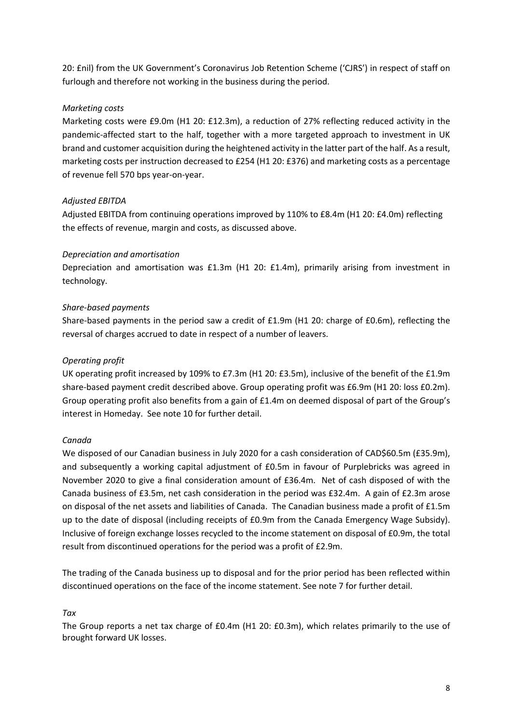20: £nil) from the UK Government's Coronavirus Job Retention Scheme ('CJRS') in respect of staff on furlough and therefore not working in the business during the period.

## *Marketing costs*

Marketing costs were £9.0m (H1 20: £12.3m), a reduction of 27% reflecting reduced activity in the pandemic-affected start to the half, together with a more targeted approach to investment in UK brand and customer acquisition during the heightened activity in the latter part of the half. As a result, marketing costs per instruction decreased to £254 (H1 20: £376) and marketing costs as a percentage of revenue fell 570 bps year-on-year.

## *Adjusted EBITDA*

Adjusted EBITDA from continuing operations improved by 110% to £8.4m (H1 20: £4.0m) reflecting the effects of revenue, margin and costs, as discussed above.

## *Depreciation and amortisation*

Depreciation and amortisation was £1.3m (H1 20: £1.4m), primarily arising from investment in technology.

## *Share-based payments*

Share-based payments in the period saw a credit of £1.9m (H1 20: charge of £0.6m), reflecting the reversal of charges accrued to date in respect of a number of leavers.

## *Operating profit*

UK operating profit increased by 109% to £7.3m (H1 20: £3.5m), inclusive of the benefit of the £1.9m share-based payment credit described above. Group operating profit was £6.9m (H1 20: loss £0.2m). Group operating profit also benefits from a gain of £1.4m on deemed disposal of part of the Group's interest in Homeday. See note 10 for further detail.

## *Canada*

We disposed of our Canadian business in July 2020 for a cash consideration of CAD\$60.5m (£35.9m), and subsequently a working capital adjustment of £0.5m in favour of Purplebricks was agreed in November 2020 to give a final consideration amount of £36.4m. Net of cash disposed of with the Canada business of £3.5m, net cash consideration in the period was £32.4m. A gain of £2.3m arose on disposal of the net assets and liabilities of Canada. The Canadian business made a profit of £1.5m up to the date of disposal (including receipts of £0.9m from the Canada Emergency Wage Subsidy). Inclusive of foreign exchange losses recycled to the income statement on disposal of £0.9m, the total result from discontinued operations for the period was a profit of £2.9m.

The trading of the Canada business up to disposal and for the prior period has been reflected within discontinued operations on the face of the income statement. See note 7 for further detail.

## *Tax*

The Group reports a net tax charge of £0.4m (H1 20: £0.3m), which relates primarily to the use of brought forward UK losses.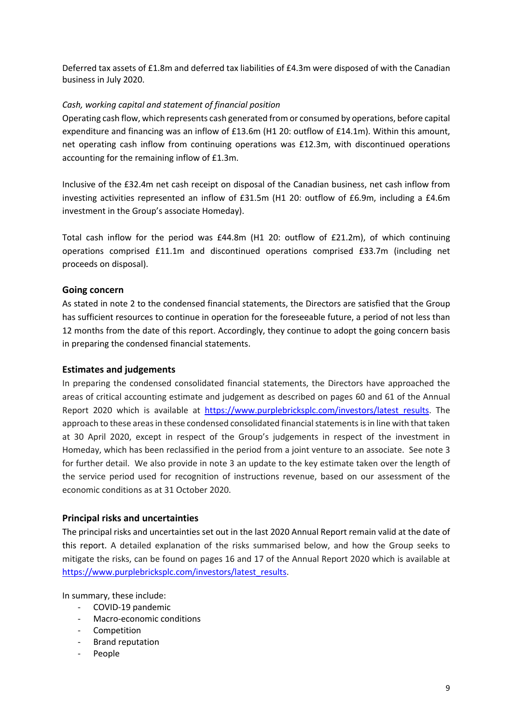Deferred tax assets of £1.8m and deferred tax liabilities of £4.3m were disposed of with the Canadian business in July 2020.

## *Cash, working capital and statement of financial position*

Operating cash flow, which represents cash generated from or consumed by operations, before capital expenditure and financing was an inflow of £13.6m (H1 20: outflow of £14.1m). Within this amount, net operating cash inflow from continuing operations was £12.3m, with discontinued operations accounting for the remaining inflow of £1.3m.

Inclusive of the £32.4m net cash receipt on disposal of the Canadian business, net cash inflow from investing activities represented an inflow of £31.5m (H1 20: outflow of £6.9m, including a £4.6m investment in the Group's associate Homeday).

Total cash inflow for the period was £44.8m (H1 20: outflow of £21.2m), of which continuing operations comprised £11.1m and discontinued operations comprised £33.7m (including net proceeds on disposal).

## **Going concern**

As stated in note 2 to the condensed financial statements, the Directors are satisfied that the Group has sufficient resources to continue in operation for the foreseeable future, a period of not less than 12 months from the date of this report. Accordingly, they continue to adopt the going concern basis in preparing the condensed financial statements.

### **Estimates and judgements**

In preparing the condensed consolidated financial statements, the Directors have approached the areas of critical accounting estimate and judgement as described on pages 60 and 61 of the Annual Report 2020 which is available at https://www.purplebricksplc.com/investors/latest\_results. The approach to these areas in these condensed consolidated financial statements is in line with that taken at 30 April 2020, except in respect of the Group's judgements in respect of the investment in Homeday, which has been reclassified in the period from a joint venture to an associate. See note 3 for further detail. We also provide in note 3 an update to the key estimate taken over the length of the service period used for recognition of instructions revenue, based on our assessment of the economic conditions as at 31 October 2020.

### **Principal risks and uncertainties**

The principal risks and uncertainties set out in the last 2020 Annual Report remain valid at the date of this report. A detailed explanation of the risks summarised below, and how the Group seeks to mitigate the risks, can be found on pages 16 and 17 of the Annual Report 2020 which is available at https://www.purplebricksplc.com/investors/latest\_results.

In summary, these include:

- COVID-19 pandemic
- Macro-economic conditions
- Competition
- Brand reputation
- **People**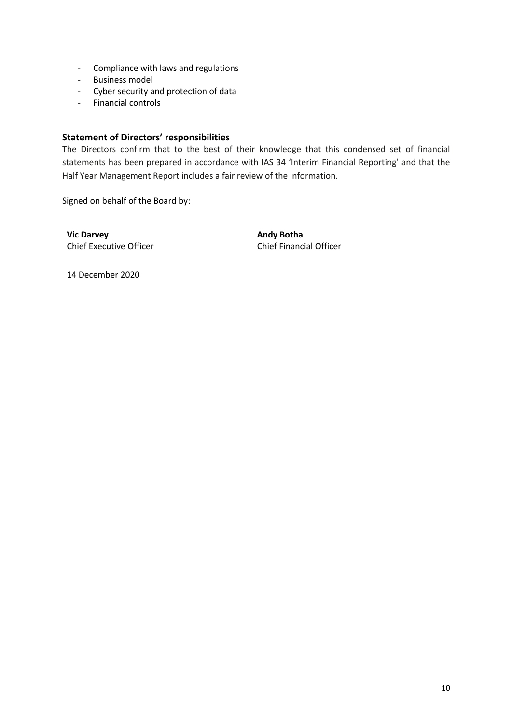- Compliance with laws and regulations
- Business model
- Cyber security and protection of data
- Financial controls

## **Statement of Directors' responsibilities**

The Directors confirm that to the best of their knowledge that this condensed set of financial statements has been prepared in accordance with IAS 34 'Interim Financial Reporting' and that the Half Year Management Report includes a fair review of the information.

Signed on behalf of the Board by:

**Vic Darvey Community Community Community Community Community Community Community Community Community Community Community Community Community Community Community Community Community Community Community Community Community** Chief Executive Officer Chief Financial Officer

14 December 2020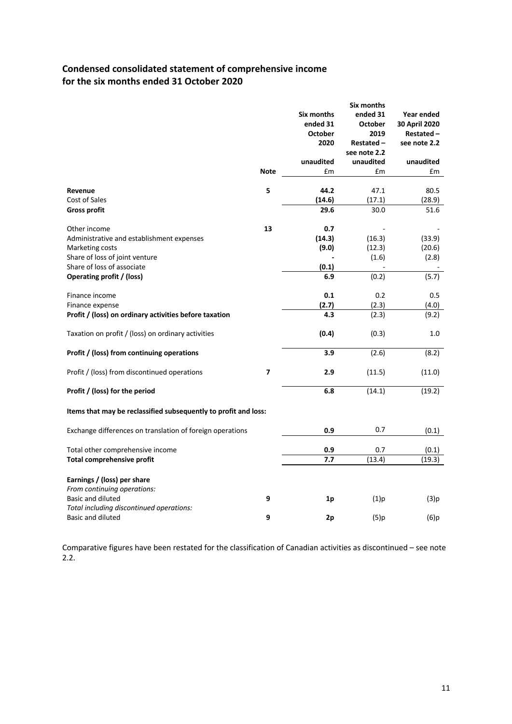# **Condensed consolidated statement of comprehensive income for the six months ended 31 October 2020**

|                                                                 |             |                | Six months     |               |
|-----------------------------------------------------------------|-------------|----------------|----------------|---------------|
|                                                                 |             | Six months     | ended 31       | Year ended    |
|                                                                 |             | ended 31       | <b>October</b> | 30 April 2020 |
|                                                                 |             | <b>October</b> | 2019           | Restated-     |
|                                                                 |             | 2020           | Restated-      | see note 2.2  |
|                                                                 |             |                | see note 2.2   |               |
|                                                                 |             | unaudited      | unaudited      | unaudited     |
|                                                                 | <b>Note</b> | £m             | £m             | £m            |
|                                                                 |             |                |                |               |
| Revenue                                                         | 5           | 44.2           | 47.1           | 80.5          |
| Cost of Sales                                                   |             | (14.6)         | (17.1)         | (28.9)        |
| <b>Gross profit</b>                                             |             | 29.6           | 30.0           | 51.6          |
| Other income                                                    | 13          | 0.7            |                |               |
| Administrative and establishment expenses                       |             | (14.3)         | (16.3)         | (33.9)        |
| Marketing costs                                                 |             | (9.0)          | (12.3)         | (20.6)        |
| Share of loss of joint venture                                  |             |                | (1.6)          | (2.8)         |
| Share of loss of associate                                      |             | (0.1)          |                |               |
| Operating profit / (loss)                                       |             | 6.9            | (0.2)          | (5.7)         |
|                                                                 |             |                |                |               |
| Finance income                                                  |             | 0.1            | 0.2            | 0.5           |
| Finance expense                                                 |             | (2.7)          | (2.3)          | (4.0)         |
| Profit / (loss) on ordinary activities before taxation          |             | 4.3            | (2.3)          | (9.2)         |
| Taxation on profit / (loss) on ordinary activities              |             | (0.4)          | (0.3)          | 1.0           |
|                                                                 |             |                |                |               |
| Profit / (loss) from continuing operations                      |             | 3.9            | (2.6)          | (8.2)         |
| Profit / (loss) from discontinued operations                    | 7           | 2.9            | (11.5)         | (11.0)        |
|                                                                 |             |                |                |               |
| Profit / (loss) for the period                                  |             | 6.8            | (14.1)         | (19.2)        |
| Items that may be reclassified subsequently to profit and loss: |             |                |                |               |
| Exchange differences on translation of foreign operations       |             | 0.9            | 0.7            | (0.1)         |
|                                                                 |             | 0.9            |                |               |
| Total other comprehensive income                                |             |                | 0.7            | (0.1)         |
| Total comprehensive profit                                      |             | 7.7            | (13.4)         | (19.3)        |
| Earnings / (loss) per share                                     |             |                |                |               |
| From continuing operations:                                     |             |                |                |               |
| <b>Basic and diluted</b>                                        | 9           | 1p             | (1)p           | (3)p          |
| Total including discontinued operations:                        |             |                |                |               |
| <b>Basic and diluted</b>                                        | 9           | 2p             | (5)p           | (6)p          |

Comparative figures have been restated for the classification of Canadian activities as discontinued – see note 2.2.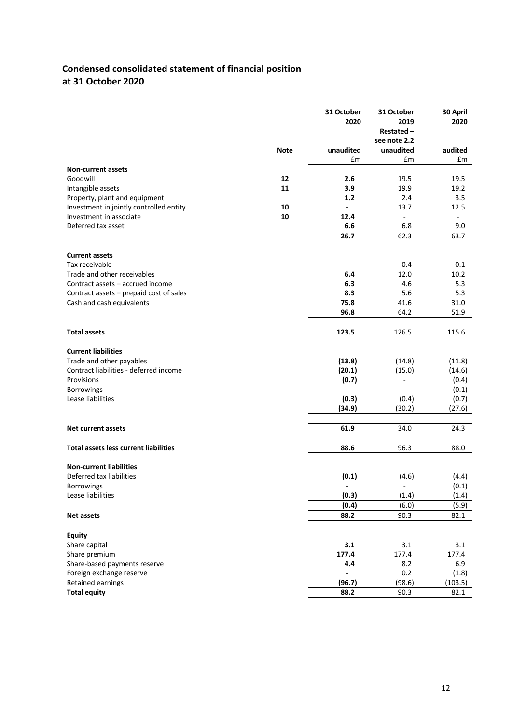# **Condensed consolidated statement of financial position at 31 October 2020**

| see note 2.2<br><b>Note</b><br>unaudited<br>unaudited<br>audited<br>£m<br>£m<br>£m<br><b>Non-current assets</b><br>Goodwill<br>12<br>2.6<br>19.5<br>19.5<br>11<br>3.9<br>19.2<br>Intangible assets<br>19.9<br>1.2<br>2.4<br>3.5<br>Property, plant and equipment<br>Investment in jointly controlled entity<br>10<br>13.7<br>12.5<br>Investment in associate<br>10<br>12.4<br>÷,<br>$\blacksquare$<br>Deferred tax asset<br>6.6<br>6.8<br>9.0<br>26.7<br>62.3<br>63.7<br><b>Current assets</b><br>Tax receivable<br>0.4<br>0.1<br>Trade and other receivables<br>6.4<br>12.0<br>10.2<br>Contract assets - accrued income<br>6.3<br>4.6<br>5.3<br>8.3<br>5.3<br>Contract assets - prepaid cost of sales<br>5.6<br>75.8<br>Cash and cash equivalents<br>41.6<br>31.0<br>96.8<br>64.2<br>51.9<br>123.5<br>126.5<br>115.6<br><b>Total assets</b><br><b>Current liabilities</b><br>Trade and other payables<br>(13.8)<br>(14.8)<br>(11.8)<br>Contract liabilities - deferred income<br>(15.0)<br>(20.1)<br>(14.6)<br>Provisions<br>(0.7)<br>(0.4)<br>(0.1)<br><b>Borrowings</b><br>Lease liabilities<br>(0.3)<br>(0.4)<br>(0.7)<br>(34.9)<br>(27.6)<br>(30.2)<br>61.9<br>34.0<br>24.3<br><b>Net current assets</b><br><b>Total assets less current liabilities</b><br>88.6<br>96.3<br>88.0<br><b>Non-current liabilities</b><br>Deferred tax liabilities<br>(0.1)<br>(4.6)<br>(4.4)<br><b>Borrowings</b><br>(0.1)<br>(0.3)<br>Lease liabilities<br>(1.4)<br>(1.4)<br>(0.4)<br>(5.9)<br>(6.0)<br>88.2<br>90.3<br>82.1<br>Net assets<br><b>Equity</b><br>Share capital<br>3.1<br>3.1<br>3.1<br>Share premium<br>177.4<br>177.4<br>177.4<br>Share-based payments reserve<br>8.2<br>6.9<br>4.4<br>Foreign exchange reserve<br>0.2<br>(1.8)<br>Retained earnings<br>(96.7)<br>(98.6)<br>(103.5)<br><b>Total equity</b><br>88.2<br>90.3<br>82.1 |  | 31 October<br>2020 | 31 October<br>2019<br>Restated- | 30 April<br>2020 |
|--------------------------------------------------------------------------------------------------------------------------------------------------------------------------------------------------------------------------------------------------------------------------------------------------------------------------------------------------------------------------------------------------------------------------------------------------------------------------------------------------------------------------------------------------------------------------------------------------------------------------------------------------------------------------------------------------------------------------------------------------------------------------------------------------------------------------------------------------------------------------------------------------------------------------------------------------------------------------------------------------------------------------------------------------------------------------------------------------------------------------------------------------------------------------------------------------------------------------------------------------------------------------------------------------------------------------------------------------------------------------------------------------------------------------------------------------------------------------------------------------------------------------------------------------------------------------------------------------------------------------------------------------------------------------------------------------------------------------------------------------------------------------------------------------------------------------------------|--|--------------------|---------------------------------|------------------|
|                                                                                                                                                                                                                                                                                                                                                                                                                                                                                                                                                                                                                                                                                                                                                                                                                                                                                                                                                                                                                                                                                                                                                                                                                                                                                                                                                                                                                                                                                                                                                                                                                                                                                                                                                                                                                                      |  |                    |                                 |                  |
|                                                                                                                                                                                                                                                                                                                                                                                                                                                                                                                                                                                                                                                                                                                                                                                                                                                                                                                                                                                                                                                                                                                                                                                                                                                                                                                                                                                                                                                                                                                                                                                                                                                                                                                                                                                                                                      |  |                    |                                 |                  |
|                                                                                                                                                                                                                                                                                                                                                                                                                                                                                                                                                                                                                                                                                                                                                                                                                                                                                                                                                                                                                                                                                                                                                                                                                                                                                                                                                                                                                                                                                                                                                                                                                                                                                                                                                                                                                                      |  |                    |                                 |                  |
|                                                                                                                                                                                                                                                                                                                                                                                                                                                                                                                                                                                                                                                                                                                                                                                                                                                                                                                                                                                                                                                                                                                                                                                                                                                                                                                                                                                                                                                                                                                                                                                                                                                                                                                                                                                                                                      |  |                    |                                 |                  |
|                                                                                                                                                                                                                                                                                                                                                                                                                                                                                                                                                                                                                                                                                                                                                                                                                                                                                                                                                                                                                                                                                                                                                                                                                                                                                                                                                                                                                                                                                                                                                                                                                                                                                                                                                                                                                                      |  |                    |                                 |                  |
|                                                                                                                                                                                                                                                                                                                                                                                                                                                                                                                                                                                                                                                                                                                                                                                                                                                                                                                                                                                                                                                                                                                                                                                                                                                                                                                                                                                                                                                                                                                                                                                                                                                                                                                                                                                                                                      |  |                    |                                 |                  |
|                                                                                                                                                                                                                                                                                                                                                                                                                                                                                                                                                                                                                                                                                                                                                                                                                                                                                                                                                                                                                                                                                                                                                                                                                                                                                                                                                                                                                                                                                                                                                                                                                                                                                                                                                                                                                                      |  |                    |                                 |                  |
|                                                                                                                                                                                                                                                                                                                                                                                                                                                                                                                                                                                                                                                                                                                                                                                                                                                                                                                                                                                                                                                                                                                                                                                                                                                                                                                                                                                                                                                                                                                                                                                                                                                                                                                                                                                                                                      |  |                    |                                 |                  |
|                                                                                                                                                                                                                                                                                                                                                                                                                                                                                                                                                                                                                                                                                                                                                                                                                                                                                                                                                                                                                                                                                                                                                                                                                                                                                                                                                                                                                                                                                                                                                                                                                                                                                                                                                                                                                                      |  |                    |                                 |                  |
|                                                                                                                                                                                                                                                                                                                                                                                                                                                                                                                                                                                                                                                                                                                                                                                                                                                                                                                                                                                                                                                                                                                                                                                                                                                                                                                                                                                                                                                                                                                                                                                                                                                                                                                                                                                                                                      |  |                    |                                 |                  |
|                                                                                                                                                                                                                                                                                                                                                                                                                                                                                                                                                                                                                                                                                                                                                                                                                                                                                                                                                                                                                                                                                                                                                                                                                                                                                                                                                                                                                                                                                                                                                                                                                                                                                                                                                                                                                                      |  |                    |                                 |                  |
|                                                                                                                                                                                                                                                                                                                                                                                                                                                                                                                                                                                                                                                                                                                                                                                                                                                                                                                                                                                                                                                                                                                                                                                                                                                                                                                                                                                                                                                                                                                                                                                                                                                                                                                                                                                                                                      |  |                    |                                 |                  |
|                                                                                                                                                                                                                                                                                                                                                                                                                                                                                                                                                                                                                                                                                                                                                                                                                                                                                                                                                                                                                                                                                                                                                                                                                                                                                                                                                                                                                                                                                                                                                                                                                                                                                                                                                                                                                                      |  |                    |                                 |                  |
|                                                                                                                                                                                                                                                                                                                                                                                                                                                                                                                                                                                                                                                                                                                                                                                                                                                                                                                                                                                                                                                                                                                                                                                                                                                                                                                                                                                                                                                                                                                                                                                                                                                                                                                                                                                                                                      |  |                    |                                 |                  |
|                                                                                                                                                                                                                                                                                                                                                                                                                                                                                                                                                                                                                                                                                                                                                                                                                                                                                                                                                                                                                                                                                                                                                                                                                                                                                                                                                                                                                                                                                                                                                                                                                                                                                                                                                                                                                                      |  |                    |                                 |                  |
|                                                                                                                                                                                                                                                                                                                                                                                                                                                                                                                                                                                                                                                                                                                                                                                                                                                                                                                                                                                                                                                                                                                                                                                                                                                                                                                                                                                                                                                                                                                                                                                                                                                                                                                                                                                                                                      |  |                    |                                 |                  |
|                                                                                                                                                                                                                                                                                                                                                                                                                                                                                                                                                                                                                                                                                                                                                                                                                                                                                                                                                                                                                                                                                                                                                                                                                                                                                                                                                                                                                                                                                                                                                                                                                                                                                                                                                                                                                                      |  |                    |                                 |                  |
|                                                                                                                                                                                                                                                                                                                                                                                                                                                                                                                                                                                                                                                                                                                                                                                                                                                                                                                                                                                                                                                                                                                                                                                                                                                                                                                                                                                                                                                                                                                                                                                                                                                                                                                                                                                                                                      |  |                    |                                 |                  |
|                                                                                                                                                                                                                                                                                                                                                                                                                                                                                                                                                                                                                                                                                                                                                                                                                                                                                                                                                                                                                                                                                                                                                                                                                                                                                                                                                                                                                                                                                                                                                                                                                                                                                                                                                                                                                                      |  |                    |                                 |                  |
|                                                                                                                                                                                                                                                                                                                                                                                                                                                                                                                                                                                                                                                                                                                                                                                                                                                                                                                                                                                                                                                                                                                                                                                                                                                                                                                                                                                                                                                                                                                                                                                                                                                                                                                                                                                                                                      |  |                    |                                 |                  |
|                                                                                                                                                                                                                                                                                                                                                                                                                                                                                                                                                                                                                                                                                                                                                                                                                                                                                                                                                                                                                                                                                                                                                                                                                                                                                                                                                                                                                                                                                                                                                                                                                                                                                                                                                                                                                                      |  |                    |                                 |                  |
|                                                                                                                                                                                                                                                                                                                                                                                                                                                                                                                                                                                                                                                                                                                                                                                                                                                                                                                                                                                                                                                                                                                                                                                                                                                                                                                                                                                                                                                                                                                                                                                                                                                                                                                                                                                                                                      |  |                    |                                 |                  |
|                                                                                                                                                                                                                                                                                                                                                                                                                                                                                                                                                                                                                                                                                                                                                                                                                                                                                                                                                                                                                                                                                                                                                                                                                                                                                                                                                                                                                                                                                                                                                                                                                                                                                                                                                                                                                                      |  |                    |                                 |                  |
|                                                                                                                                                                                                                                                                                                                                                                                                                                                                                                                                                                                                                                                                                                                                                                                                                                                                                                                                                                                                                                                                                                                                                                                                                                                                                                                                                                                                                                                                                                                                                                                                                                                                                                                                                                                                                                      |  |                    |                                 |                  |
|                                                                                                                                                                                                                                                                                                                                                                                                                                                                                                                                                                                                                                                                                                                                                                                                                                                                                                                                                                                                                                                                                                                                                                                                                                                                                                                                                                                                                                                                                                                                                                                                                                                                                                                                                                                                                                      |  |                    |                                 |                  |
|                                                                                                                                                                                                                                                                                                                                                                                                                                                                                                                                                                                                                                                                                                                                                                                                                                                                                                                                                                                                                                                                                                                                                                                                                                                                                                                                                                                                                                                                                                                                                                                                                                                                                                                                                                                                                                      |  |                    |                                 |                  |
|                                                                                                                                                                                                                                                                                                                                                                                                                                                                                                                                                                                                                                                                                                                                                                                                                                                                                                                                                                                                                                                                                                                                                                                                                                                                                                                                                                                                                                                                                                                                                                                                                                                                                                                                                                                                                                      |  |                    |                                 |                  |
|                                                                                                                                                                                                                                                                                                                                                                                                                                                                                                                                                                                                                                                                                                                                                                                                                                                                                                                                                                                                                                                                                                                                                                                                                                                                                                                                                                                                                                                                                                                                                                                                                                                                                                                                                                                                                                      |  |                    |                                 |                  |
|                                                                                                                                                                                                                                                                                                                                                                                                                                                                                                                                                                                                                                                                                                                                                                                                                                                                                                                                                                                                                                                                                                                                                                                                                                                                                                                                                                                                                                                                                                                                                                                                                                                                                                                                                                                                                                      |  |                    |                                 |                  |
|                                                                                                                                                                                                                                                                                                                                                                                                                                                                                                                                                                                                                                                                                                                                                                                                                                                                                                                                                                                                                                                                                                                                                                                                                                                                                                                                                                                                                                                                                                                                                                                                                                                                                                                                                                                                                                      |  |                    |                                 |                  |
|                                                                                                                                                                                                                                                                                                                                                                                                                                                                                                                                                                                                                                                                                                                                                                                                                                                                                                                                                                                                                                                                                                                                                                                                                                                                                                                                                                                                                                                                                                                                                                                                                                                                                                                                                                                                                                      |  |                    |                                 |                  |
|                                                                                                                                                                                                                                                                                                                                                                                                                                                                                                                                                                                                                                                                                                                                                                                                                                                                                                                                                                                                                                                                                                                                                                                                                                                                                                                                                                                                                                                                                                                                                                                                                                                                                                                                                                                                                                      |  |                    |                                 |                  |
|                                                                                                                                                                                                                                                                                                                                                                                                                                                                                                                                                                                                                                                                                                                                                                                                                                                                                                                                                                                                                                                                                                                                                                                                                                                                                                                                                                                                                                                                                                                                                                                                                                                                                                                                                                                                                                      |  |                    |                                 |                  |
|                                                                                                                                                                                                                                                                                                                                                                                                                                                                                                                                                                                                                                                                                                                                                                                                                                                                                                                                                                                                                                                                                                                                                                                                                                                                                                                                                                                                                                                                                                                                                                                                                                                                                                                                                                                                                                      |  |                    |                                 |                  |
|                                                                                                                                                                                                                                                                                                                                                                                                                                                                                                                                                                                                                                                                                                                                                                                                                                                                                                                                                                                                                                                                                                                                                                                                                                                                                                                                                                                                                                                                                                                                                                                                                                                                                                                                                                                                                                      |  |                    |                                 |                  |
|                                                                                                                                                                                                                                                                                                                                                                                                                                                                                                                                                                                                                                                                                                                                                                                                                                                                                                                                                                                                                                                                                                                                                                                                                                                                                                                                                                                                                                                                                                                                                                                                                                                                                                                                                                                                                                      |  |                    |                                 |                  |
|                                                                                                                                                                                                                                                                                                                                                                                                                                                                                                                                                                                                                                                                                                                                                                                                                                                                                                                                                                                                                                                                                                                                                                                                                                                                                                                                                                                                                                                                                                                                                                                                                                                                                                                                                                                                                                      |  |                    |                                 |                  |
|                                                                                                                                                                                                                                                                                                                                                                                                                                                                                                                                                                                                                                                                                                                                                                                                                                                                                                                                                                                                                                                                                                                                                                                                                                                                                                                                                                                                                                                                                                                                                                                                                                                                                                                                                                                                                                      |  |                    |                                 |                  |
|                                                                                                                                                                                                                                                                                                                                                                                                                                                                                                                                                                                                                                                                                                                                                                                                                                                                                                                                                                                                                                                                                                                                                                                                                                                                                                                                                                                                                                                                                                                                                                                                                                                                                                                                                                                                                                      |  |                    |                                 |                  |
|                                                                                                                                                                                                                                                                                                                                                                                                                                                                                                                                                                                                                                                                                                                                                                                                                                                                                                                                                                                                                                                                                                                                                                                                                                                                                                                                                                                                                                                                                                                                                                                                                                                                                                                                                                                                                                      |  |                    |                                 |                  |
|                                                                                                                                                                                                                                                                                                                                                                                                                                                                                                                                                                                                                                                                                                                                                                                                                                                                                                                                                                                                                                                                                                                                                                                                                                                                                                                                                                                                                                                                                                                                                                                                                                                                                                                                                                                                                                      |  |                    |                                 |                  |
|                                                                                                                                                                                                                                                                                                                                                                                                                                                                                                                                                                                                                                                                                                                                                                                                                                                                                                                                                                                                                                                                                                                                                                                                                                                                                                                                                                                                                                                                                                                                                                                                                                                                                                                                                                                                                                      |  |                    |                                 |                  |
|                                                                                                                                                                                                                                                                                                                                                                                                                                                                                                                                                                                                                                                                                                                                                                                                                                                                                                                                                                                                                                                                                                                                                                                                                                                                                                                                                                                                                                                                                                                                                                                                                                                                                                                                                                                                                                      |  |                    |                                 |                  |
|                                                                                                                                                                                                                                                                                                                                                                                                                                                                                                                                                                                                                                                                                                                                                                                                                                                                                                                                                                                                                                                                                                                                                                                                                                                                                                                                                                                                                                                                                                                                                                                                                                                                                                                                                                                                                                      |  |                    |                                 |                  |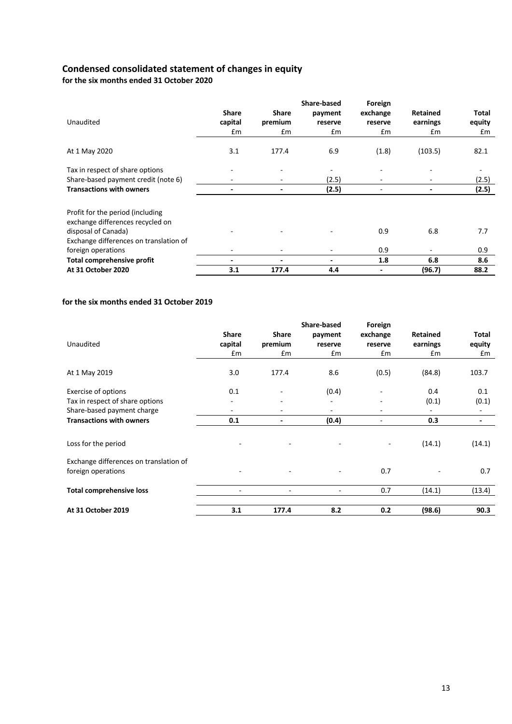## **Condensed consolidated statement of changes in equity**

**for the six months ended 31 October 2020**

|                                                                      |               |              | Share-based | Foreign  |                 |        |
|----------------------------------------------------------------------|---------------|--------------|-------------|----------|-----------------|--------|
|                                                                      | <b>Share</b>  | <b>Share</b> | payment     | exchange | <b>Retained</b> | Total  |
| Unaudited                                                            | capital       | premium      | reserve     | reserve  | earnings        | equity |
|                                                                      | $\mathsf{fm}$ | £m           | £m          | £m       | £m              | £m     |
| At 1 May 2020                                                        | 3.1           | 177.4        | 6.9         | (1.8)    | (103.5)         | 82.1   |
| Tax in respect of share options                                      |               |              |             |          |                 |        |
| Share-based payment credit (note 6)                                  | ۰             |              | (2.5)       |          |                 | (2.5)  |
| <b>Transactions with owners</b>                                      |               |              | (2.5)       |          |                 | (2.5)  |
| Profit for the period (including<br>exchange differences recycled on |               |              |             |          |                 |        |
| disposal of Canada)<br>Exchange differences on translation of        |               |              |             | 0.9      | 6.8             | 7.7    |
| foreign operations                                                   |               |              |             | 0.9      |                 | 0.9    |
| Total comprehensive profit                                           | ٠             |              | ٠           | 1.8      | 6.8             | 8.6    |
| At 31 October 2020                                                   | 3.1           | 177.4        | 4.4         |          | (96.7)          | 88.2   |

#### **for the six months ended 31 October 2019**

| Unaudited                                                                                                               | <b>Share</b><br>capital<br>£m               | Share<br>premium<br>£m   | <b>Share-based</b><br>payment<br>reserve<br>£m | Foreign<br>exchange<br>reserve<br>£m | Retained<br>earnings<br>£m | <b>Total</b><br>equity<br>£m             |
|-------------------------------------------------------------------------------------------------------------------------|---------------------------------------------|--------------------------|------------------------------------------------|--------------------------------------|----------------------------|------------------------------------------|
| At 1 May 2019                                                                                                           | 3.0                                         | 177.4                    | 8.6                                            | (0.5)                                | (84.8)                     | 103.7                                    |
| Exercise of options<br>Tax in respect of share options<br>Share-based payment charge<br><b>Transactions with owners</b> | 0.1<br>٠<br>$\overline{\phantom{a}}$<br>0.1 | ۰                        | (0.4)<br>۰<br>$\overline{\phantom{a}}$         | ٠                                    | 0.4<br>(0.1)<br>0.3        | 0.1<br>(0.1)<br>$\overline{\phantom{a}}$ |
|                                                                                                                         |                                             |                          | (0.4)                                          | ٠                                    |                            | $\overline{\phantom{a}}$                 |
| Loss for the period                                                                                                     |                                             |                          |                                                | $\qquad \qquad -$                    | (14.1)                     | (14.1)                                   |
| Exchange differences on translation of<br>foreign operations                                                            |                                             |                          |                                                | 0.7                                  |                            | 0.7                                      |
| <b>Total comprehensive loss</b>                                                                                         | ٠                                           | $\overline{\phantom{a}}$ | ۰                                              | 0.7                                  | (14.1)                     | (13.4)                                   |
| At 31 October 2019                                                                                                      | 3.1                                         | 177.4                    | 8.2                                            | 0.2                                  | (98.6)                     | 90.3                                     |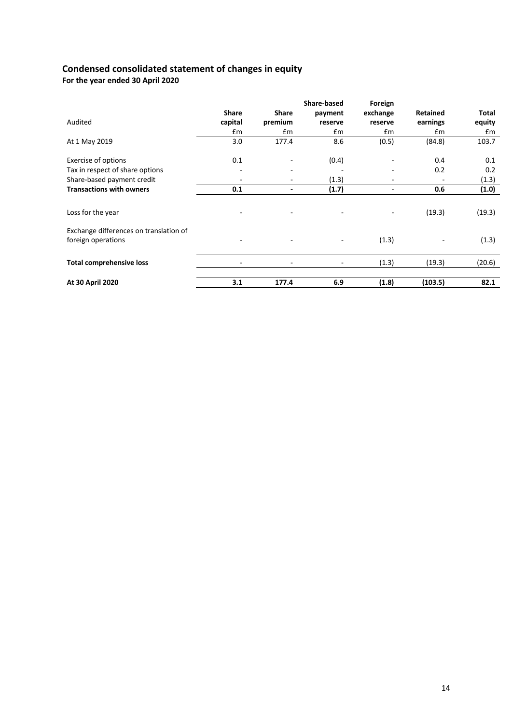## **Condensed consolidated statement of changes in equity**

**For the year ended 30 April 2020**

|                                        |               |              | <b>Share-based</b>       | Foreign                  |          |              |
|----------------------------------------|---------------|--------------|--------------------------|--------------------------|----------|--------------|
|                                        | <b>Share</b>  | <b>Share</b> | payment                  | exchange                 | Retained | <b>Total</b> |
| Audited                                | capital       | premium      | reserve                  | reserve                  | earnings | equity       |
|                                        | $\mathsf{fm}$ | Em           | Em                       | Em                       | Em       | £m           |
| At 1 May 2019                          | 3.0           | 177.4        | 8.6                      | (0.5)                    | (84.8)   | 103.7        |
| <b>Exercise of options</b>             | 0.1           |              | (0.4)                    |                          | 0.4      | 0.1          |
| Tax in respect of share options        | ۰             |              |                          |                          | 0.2      | 0.2          |
| Share-based payment credit             |               | ٠            | (1.3)                    | $\overline{\phantom{a}}$ |          | (1.3)        |
| <b>Transactions with owners</b>        | 0.1           | ٠            | (1.7)                    | $\blacksquare$           | 0.6      | (1.0)        |
|                                        |               |              |                          |                          |          |              |
| Loss for the year                      |               |              | ٠                        |                          | (19.3)   | (19.3)       |
| Exchange differences on translation of |               |              |                          |                          |          |              |
| foreign operations                     |               |              | $\overline{\phantom{a}}$ | (1.3)                    |          | (1.3)        |
| <b>Total comprehensive loss</b>        |               |              | $\overline{\phantom{a}}$ | (1.3)                    | (19.3)   | (20.6)       |
|                                        |               |              |                          |                          |          |              |
| At 30 April 2020                       | 3.1           | 177.4        | 6.9                      | (1.8)                    | (103.5)  | 82.1         |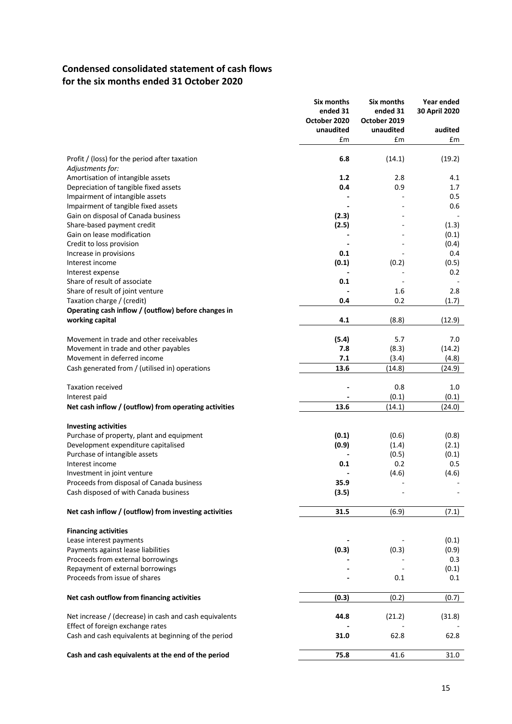# **Condensed consolidated statement of cash flows for the six months ended 31 October 2020**

|                                                        | Six months<br>ended 31<br>October 2020 | Six months<br>ended 31<br>October 2019 | Year ended<br>30 April 2020 |
|--------------------------------------------------------|----------------------------------------|----------------------------------------|-----------------------------|
|                                                        | unaudited                              | unaudited                              | audited                     |
|                                                        | £m                                     | £m                                     | £m                          |
| Profit / (loss) for the period after taxation          | 6.8                                    | (14.1)                                 | (19.2)                      |
| Adjustments for:                                       |                                        |                                        |                             |
| Amortisation of intangible assets                      | 1.2                                    | 2.8                                    | 4.1                         |
| Depreciation of tangible fixed assets                  | 0.4                                    | 0.9                                    | 1.7                         |
| Impairment of intangible assets                        |                                        |                                        | 0.5                         |
| Impairment of tangible fixed assets                    |                                        |                                        | 0.6                         |
| Gain on disposal of Canada business                    | (2.3)                                  |                                        |                             |
| Share-based payment credit                             | (2.5)                                  |                                        | (1.3)                       |
| Gain on lease modification                             |                                        |                                        | (0.1)                       |
| Credit to loss provision                               |                                        |                                        | (0.4)                       |
| Increase in provisions                                 | 0.1                                    |                                        | 0.4                         |
| Interest income                                        | (0.1)                                  | (0.2)                                  | (0.5)                       |
| Interest expense                                       |                                        |                                        | 0.2                         |
| Share of result of associate                           | 0.1                                    |                                        |                             |
| Share of result of joint venture                       |                                        | 1.6                                    | 2.8                         |
| Taxation charge / (credit)                             | 0.4                                    | 0.2                                    | (1.7)                       |
| Operating cash inflow / (outflow) before changes in    |                                        |                                        |                             |
| working capital                                        | 4.1                                    | (8.8)                                  | (12.9)                      |
|                                                        |                                        |                                        |                             |
| Movement in trade and other receivables                | (5.4)                                  | 5.7                                    | 7.0                         |
| Movement in trade and other payables                   | 7.8                                    | (8.3)                                  | (14.2)                      |
| Movement in deferred income                            | 7.1                                    | (3.4)                                  | (4.8)                       |
|                                                        | 13.6                                   | (14.8)                                 |                             |
| Cash generated from / (utilised in) operations         |                                        |                                        | (24.9)                      |
| <b>Taxation received</b>                               |                                        | 0.8                                    | 1.0                         |
| Interest paid                                          |                                        | (0.1)                                  | (0.1)                       |
| Net cash inflow / (outflow) from operating activities  | 13.6                                   | (14.1)                                 | (24.0)                      |
|                                                        |                                        |                                        |                             |
| <b>Investing activities</b>                            |                                        |                                        |                             |
| Purchase of property, plant and equipment              | (0.1)                                  | (0.6)                                  | (0.8)                       |
| Development expenditure capitalised                    | (0.9)                                  | (1.4)                                  | (2.1)                       |
| Purchase of intangible assets                          |                                        | (0.5)                                  | (0.1)                       |
| Interest income                                        | 0.1                                    | 0.2                                    | 0.5                         |
| Investment in joint venture                            |                                        | (4.6)                                  | (4.6)                       |
| Proceeds from disposal of Canada business              | 35.9                                   |                                        |                             |
| Cash disposed of with Canada business                  | (3.5)                                  |                                        |                             |
| Net cash inflow / (outflow) from investing activities  | 31.5                                   | (6.9)                                  | (7.1)                       |
|                                                        |                                        |                                        |                             |
| <b>Financing activities</b>                            |                                        |                                        |                             |
| Lease interest payments                                |                                        |                                        | (0.1)                       |
| Payments against lease liabilities                     | (0.3)                                  | (0.3)                                  | (0.9)                       |
| Proceeds from external borrowings                      |                                        |                                        | 0.3                         |
| Repayment of external borrowings                       |                                        |                                        | (0.1)                       |
| Proceeds from issue of shares                          |                                        | 0.1                                    | 0.1                         |
| Net cash outflow from financing activities             | (0.3)                                  | (0.2)                                  | (0.7)                       |
|                                                        |                                        |                                        |                             |
| Net increase / (decrease) in cash and cash equivalents | 44.8                                   | (21.2)                                 | (31.8)                      |
| Effect of foreign exchange rates                       |                                        |                                        |                             |
| Cash and cash equivalents at beginning of the period   | 31.0                                   | 62.8                                   | 62.8                        |
|                                                        |                                        |                                        |                             |
| Cash and cash equivalents at the end of the period     | 75.8                                   | 41.6                                   | 31.0                        |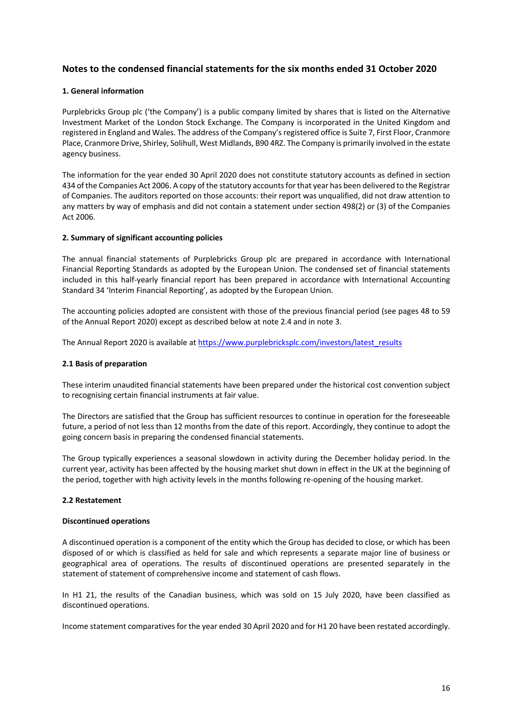## **Notes to the condensed financial statements for the six months ended 31 October 2020**

#### **1. General information**

Purplebricks Group plc ('the Company') is a public company limited by shares that is listed on the Alternative Investment Market of the London Stock Exchange. The Company is incorporated in the United Kingdom and registered in England and Wales. The address of the Company's registered office is Suite 7, First Floor, Cranmore Place, Cranmore Drive, Shirley, Solihull, West Midlands, B90 4RZ. The Company is primarily involved in the estate agency business.

The information for the year ended 30 April 2020 does not constitute statutory accounts as defined in section 434 of the Companies Act 2006. A copy of the statutory accounts for that year has been delivered to the Registrar of Companies. The auditors reported on those accounts: their report was unqualified, did not draw attention to any matters by way of emphasis and did not contain a statement under section 498(2) or (3) of the Companies Act 2006.

#### **2. Summary of significant accounting policies**

The annual financial statements of Purplebricks Group plc are prepared in accordance with International Financial Reporting Standards as adopted by the European Union. The condensed set of financial statements included in this half-yearly financial report has been prepared in accordance with International Accounting Standard 34 'Interim Financial Reporting', as adopted by the European Union.

The accounting policies adopted are consistent with those of the previous financial period (see pages 48 to 59 of the Annual Report 2020) except as described below at note 2.4 and in note 3.

The Annual Report 2020 is available at https://www.purplebricksplc.com/investors/latest\_results

#### **2.1 Basis of preparation**

These interim unaudited financial statements have been prepared under the historical cost convention subject to recognising certain financial instruments at fair value.

The Directors are satisfied that the Group has sufficient resources to continue in operation for the foreseeable future, a period of not less than 12 months from the date of this report. Accordingly, they continue to adopt the going concern basis in preparing the condensed financial statements.

The Group typically experiences a seasonal slowdown in activity during the December holiday period. In the current year, activity has been affected by the housing market shut down in effect in the UK at the beginning of the period, together with high activity levels in the months following re-opening of the housing market.

#### **2.2 Restatement**

#### **Discontinued operations**

A discontinued operation is a component of the entity which the Group has decided to close, or which has been disposed of or which is classified as held for sale and which represents a separate major line of business or geographical area of operations. The results of discontinued operations are presented separately in the statement of statement of comprehensive income and statement of cash flows.

In H1 21, the results of the Canadian business, which was sold on 15 July 2020, have been classified as discontinued operations.

Income statement comparatives for the year ended 30 April 2020 and for H1 20 have been restated accordingly.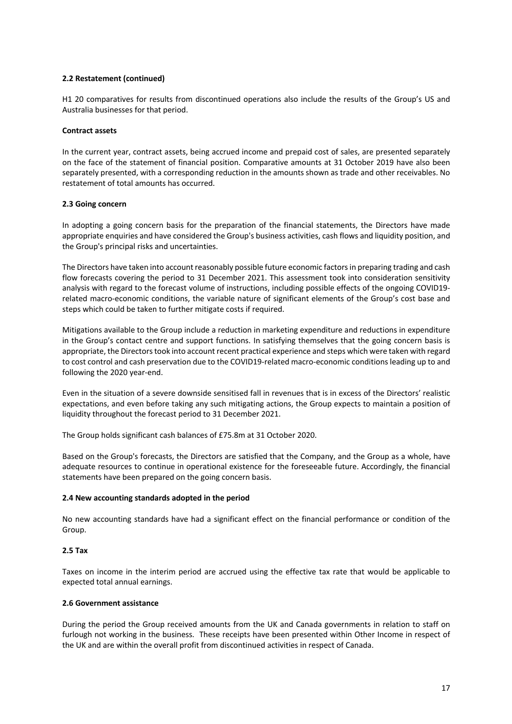#### **2.2 Restatement (continued)**

H1 20 comparatives for results from discontinued operations also include the results of the Group's US and Australia businesses for that period.

#### **Contract assets**

In the current year, contract assets, being accrued income and prepaid cost of sales, are presented separately on the face of the statement of financial position. Comparative amounts at 31 October 2019 have also been separately presented, with a corresponding reduction in the amounts shown as trade and other receivables. No restatement of total amounts has occurred.

### **2.3 Going concern**

In adopting a going concern basis for the preparation of the financial statements, the Directors have made appropriate enquiries and have considered the Group's business activities, cash flows and liquidity position, and the Group's principal risks and uncertainties.

The Directors have taken into account reasonably possible future economic factors in preparing trading and cash flow forecasts covering the period to 31 December 2021. This assessment took into consideration sensitivity analysis with regard to the forecast volume of instructions, including possible effects of the ongoing COVID19 related macro-economic conditions, the variable nature of significant elements of the Group's cost base and steps which could be taken to further mitigate costs if required.

Mitigations available to the Group include a reduction in marketing expenditure and reductions in expenditure in the Group's contact centre and support functions. In satisfying themselves that the going concern basis is appropriate, the Directors took into account recent practical experience and steps which were taken with regard to cost control and cash preservation due to the COVID19-related macro-economic conditions leading up to and following the 2020 year-end.

Even in the situation of a severe downside sensitised fall in revenues that is in excess of the Directors' realistic expectations, and even before taking any such mitigating actions, the Group expects to maintain a position of liquidity throughout the forecast period to 31 December 2021.

The Group holds significant cash balances of £75.8m at 31 October 2020.

Based on the Group's forecasts, the Directors are satisfied that the Company, and the Group as a whole, have adequate resources to continue in operational existence for the foreseeable future. Accordingly, the financial statements have been prepared on the going concern basis.

#### **2.4 New accounting standards adopted in the period**

No new accounting standards have had a significant effect on the financial performance or condition of the Group.

#### **2.5 Tax**

Taxes on income in the interim period are accrued using the effective tax rate that would be applicable to expected total annual earnings.

#### **2.6 Government assistance**

During the period the Group received amounts from the UK and Canada governments in relation to staff on furlough not working in the business. These receipts have been presented within Other Income in respect of the UK and are within the overall profit from discontinued activities in respect of Canada.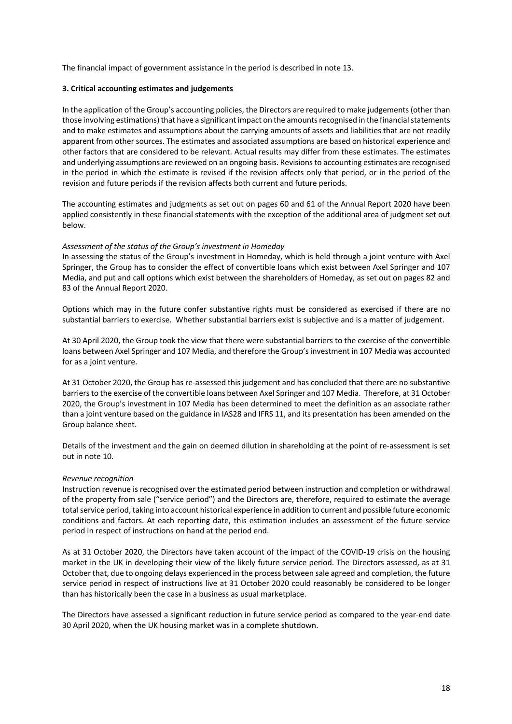The financial impact of government assistance in the period is described in note 13.

### **3. Critical accounting estimates and judgements**

In the application of the Group's accounting policies, the Directors are required to make judgements (other than those involving estimations) that have a significant impact on the amounts recognised in the financial statements and to make estimates and assumptions about the carrying amounts of assets and liabilities that are not readily apparent from other sources. The estimates and associated assumptions are based on historical experience and other factors that are considered to be relevant. Actual results may differ from these estimates. The estimates and underlying assumptions are reviewed on an ongoing basis. Revisions to accounting estimates are recognised in the period in which the estimate is revised if the revision affects only that period, or in the period of the revision and future periods if the revision affects both current and future periods.

The accounting estimates and judgments as set out on pages 60 and 61 of the Annual Report 2020 have been applied consistently in these financial statements with the exception of the additional area of judgment set out below.

### *Assessment of the status of the Group's investment in Homeday*

In assessing the status of the Group's investment in Homeday, which is held through a joint venture with Axel Springer, the Group has to consider the effect of convertible loans which exist between Axel Springer and 107 Media, and put and call options which exist between the shareholders of Homeday, as set out on pages 82 and 83 of the Annual Report 2020.

Options which may in the future confer substantive rights must be considered as exercised if there are no substantial barriers to exercise. Whether substantial barriers exist is subjective and is a matter of judgement.

At 30 April 2020, the Group took the view that there were substantial barriers to the exercise of the convertible loans between Axel Springer and 107 Media, and therefore the Group's investment in 107 Media was accounted for as a joint venture.

At 31 October 2020, the Group has re-assessed this judgement and has concluded that there are no substantive barriers to the exercise of the convertible loans between Axel Springer and 107 Media. Therefore, at 31 October 2020, the Group's investment in 107 Media has been determined to meet the definition as an associate rather than a joint venture based on the guidance in IAS28 and IFRS 11, and its presentation has been amended on the Group balance sheet.

Details of the investment and the gain on deemed dilution in shareholding at the point of re-assessment is set out in note 10.

#### *Revenue recognition*

Instruction revenue is recognised over the estimated period between instruction and completion or withdrawal of the property from sale ("service period") and the Directors are, therefore, required to estimate the average total service period, taking into account historical experience in addition to current and possible future economic conditions and factors. At each reporting date, this estimation includes an assessment of the future service period in respect of instructions on hand at the period end.

As at 31 October 2020, the Directors have taken account of the impact of the COVID-19 crisis on the housing market in the UK in developing their view of the likely future service period. The Directors assessed, as at 31 October that, due to ongoing delays experienced in the process between sale agreed and completion, the future service period in respect of instructions live at 31 October 2020 could reasonably be considered to be longer than has historically been the case in a business as usual marketplace.

The Directors have assessed a significant reduction in future service period as compared to the year-end date 30 April 2020, when the UK housing market was in a complete shutdown.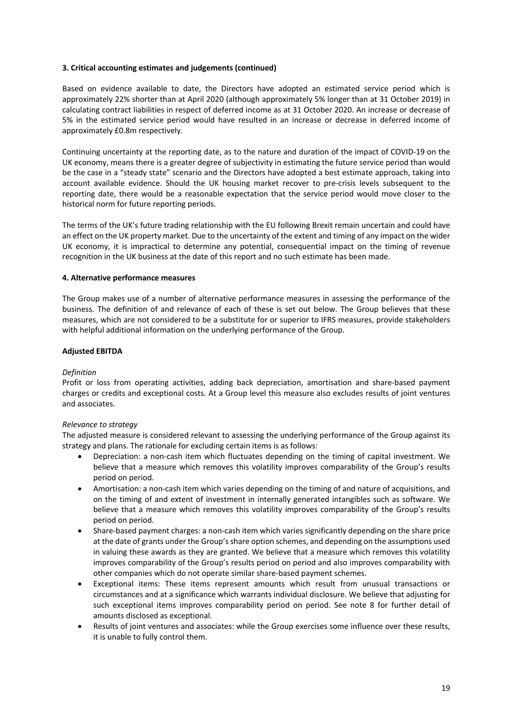#### **3. Critical accounting estimates and judgements (continued)**

Based on evidence available to date, the Directors have adopted an estimated service period which is approximately 22% shorter than at April 2020 (although approximately 5% longer than at 31 October 2019) in calculating contract liabilities in respect of deferred income as at 31 October 2020. An increase or decrease of 5% in the estimated service period would have resulted in an increase or decrease in deferred income of approximately £0.8m respectively.

Continuing uncertainty at the reporting date, as to the nature and duration of the impact of COVID-19 on the UK economy, means there is a greater degree of subjectivity in estimating the future service period than would be the case in a "steady state" scenario and the Directors have adopted a best estimate approach, taking into account available evidence. Should the UK housing market recover to pre-crisis levels subsequent to the reporting date, there would be a reasonable expectation that the service period would move closer to the historical norm for future reporting periods.

The terms of the UK's future trading relationship with the EU following Brexit remain uncertain and could have an effect on the UK property market. Due to the uncertainty of the extent and timing of any impact on the wider UK economy, it is impractical to determine any potential, consequential impact on the timing of revenue recognition in the UK business at the date of this report and no such estimate has been made.

#### **4. Alternative performance measures**

The Group makes use of a number of alternative performance measures in assessing the performance of the business. The definition of and relevance of each of these is set out below. The Group believes that these measures, which are not considered to be a substitute for or superior to IFRS measures, provide stakeholders with helpful additional information on the underlying performance of the Group.

### **Adjusted EBITDA**

#### *Definition*

Profit or loss from operating activities, adding back depreciation, amortisation and share-based payment charges or credits and exceptional costs. At a Group level this measure also excludes results of joint ventures and associates.

#### *Relevance to strategy*

The adjusted measure is considered relevant to assessing the underlying performance of the Group against its strategy and plans. The rationale for excluding certain items is as follows:

- Depreciation: a non-cash item which fluctuates depending on the timing of capital investment. We believe that a measure which removes this volatility improves comparability of the Group's results period on period.
- Amortisation: a non-cash item which varies depending on the timing of and nature of acquisitions, and on the timing of and extent of investment in internally generated intangibles such as software. We believe that a measure which removes this volatility improves comparability of the Group's results period on period.
- Share-based payment charges: a non-cash item which varies significantly depending on the share price at the date of grants under the Group's share option schemes, and depending on the assumptions used in valuing these awards as they are granted. We believe that a measure which removes this volatility improves comparability of the Group's results period on period and also improves comparability with other companies which do not operate similar share-based payment schemes.
- Exceptional items: These items represent amounts which result from unusual transactions or circumstances and at a significance which warrants individual disclosure. We believe that adjusting for such exceptional items improves comparability period on period. See note 8 for further detail of amounts disclosed as exceptional.
- Results of joint ventures and associates: while the Group exercises some influence over these results, it is unable to fully control them.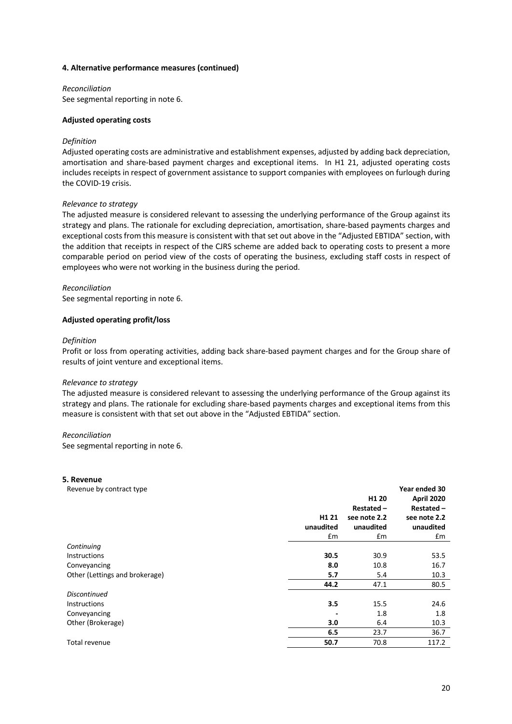#### **4. Alternative performance measures (continued)**

*Reconciliation*  See segmental reporting in note 6.

#### **Adjusted operating costs**

#### *Definition*

Adjusted operating costs are administrative and establishment expenses, adjusted by adding back depreciation, amortisation and share-based payment charges and exceptional items. In H1 21, adjusted operating costs includes receipts in respect of government assistance to support companies with employees on furlough during the COVID-19 crisis.

#### *Relevance to strategy*

The adjusted measure is considered relevant to assessing the underlying performance of the Group against its strategy and plans. The rationale for excluding depreciation, amortisation, share-based payments charges and exceptional costs from this measure is consistent with that set out above in the "Adjusted EBTIDA" section, with the addition that receipts in respect of the CJRS scheme are added back to operating costs to present a more comparable period on period view of the costs of operating the business, excluding staff costs in respect of employees who were not working in the business during the period.

#### *Reconciliation*

See segmental reporting in note 6.

#### **Adjusted operating profit/loss**

#### *Definition*

Profit or loss from operating activities, adding back share-based payment charges and for the Group share of results of joint venture and exceptional items.

#### *Relevance to strategy*

The adjusted measure is considered relevant to assessing the underlying performance of the Group against its strategy and plans. The rationale for excluding share-based payments charges and exceptional items from this measure is consistent with that set out above in the "Adjusted EBTIDA" section.

#### *Reconciliation*

See segmental reporting in note 6.

#### **5. Revenue**

| Revenue by contract type       |                   |                   | Year ended 30     |
|--------------------------------|-------------------|-------------------|-------------------|
|                                |                   | H <sub>1</sub> 20 | <b>April 2020</b> |
|                                |                   | Restated-         | Restated-         |
|                                | H <sub>1</sub> 21 | see note 2.2      | see note 2.2      |
|                                | unaudited         | unaudited         | unaudited         |
|                                | Em                | £m                | £m                |
| Continuing                     |                   |                   |                   |
| <b>Instructions</b>            | 30.5              | 30.9              | 53.5              |
| Conveyancing                   | 8.0               | 10.8              | 16.7              |
| Other (Lettings and brokerage) | 5.7               | 5.4               | 10.3              |
|                                | 44.2              | 47.1              | 80.5              |
| <b>Discontinued</b>            |                   |                   |                   |
| <b>Instructions</b>            | 3.5               | 15.5              | 24.6              |
| Conveyancing                   |                   | 1.8               | 1.8               |
| Other (Brokerage)              | 3.0               | 6.4               | 10.3              |
|                                | 6.5               | 23.7              | 36.7              |
| Total revenue                  | 50.7              | 70.8              | 117.2             |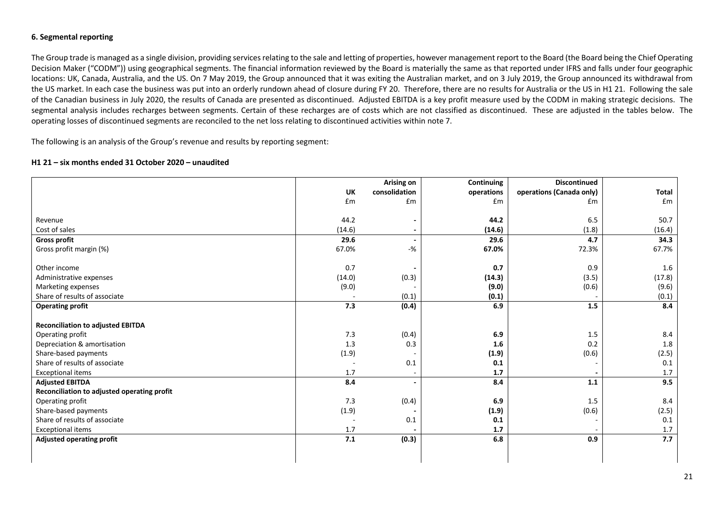#### **6. Segmental reporting**

The Group trade is managed as a single division, providing services relating to the sale and letting of properties, however management report to the Board (the Board being the Chief Operating Decision Maker ("CODM")) using geographical segments. The financial information reviewed by the Board is materially the same as that reported under IFRS and falls under four geographic locations: UK, Canada, Australia, and the US. On 7 May 2019, the Group announced that it was exiting the Australian market, and on 3 July 2019, the Group announced its withdrawal from the US market. In each case the business was put into an orderly rundown ahead of closure during FY 20. Therefore, there are no results for Australia or the US in H1 21. Following the sale of the Canadian business in July 2020, the results of Canada are presented as discontinued. Adjusted EBITDA is a key profit measure used by the CODM in making strategic decisions. The segmental analysis includes recharges between segments. Certain of these recharges are of costs which are not classified as discontinued. These are adjusted in the tables below. The operating losses of discontinued segments are reconciled to the net loss relating to discontinued activities within note 7.

The following is an analysis of the Group's revenue and results by reporting segment:

#### **H1 21 – six months ended 31 October 2020 – unaudited**

|                                             |           | Arising on               | Continuing | <b>Discontinued</b>      |              |
|---------------------------------------------|-----------|--------------------------|------------|--------------------------|--------------|
|                                             | <b>UK</b> | consolidation            | operations | operations (Canada only) | <b>Total</b> |
|                                             | £m        | £m                       | £m         | £m                       | £m           |
|                                             |           |                          |            |                          |              |
| Revenue                                     | 44.2      | $\overline{\phantom{a}}$ | 44.2       | 6.5                      | 50.7         |
| Cost of sales                               | (14.6)    |                          | (14.6)     | (1.8)                    | (16.4)       |
| <b>Gross profit</b>                         | 29.6      | $\blacksquare$           | 29.6       | 4.7                      | 34.3         |
| Gross profit margin (%)                     | 67.0%     | $-$ %                    | 67.0%      | 72.3%                    | 67.7%        |
| Other income                                | 0.7       |                          | 0.7        | 0.9                      | 1.6          |
| Administrative expenses                     | (14.0)    | (0.3)                    | (14.3)     | (3.5)                    | (17.8)       |
| Marketing expenses                          | (9.0)     |                          | (9.0)      | (0.6)                    | (9.6)        |
| Share of results of associate               |           | (0.1)                    | (0.1)      |                          | (0.1)        |
| <b>Operating profit</b>                     | 7.3       | (0.4)                    | 6.9        | 1.5                      | 8.4          |
|                                             |           |                          |            |                          |              |
| <b>Reconciliation to adjusted EBITDA</b>    |           |                          |            |                          |              |
| Operating profit                            | 7.3       | (0.4)                    | 6.9        | 1.5                      | 8.4          |
| Depreciation & amortisation                 | 1.3       | 0.3                      | 1.6        | 0.2                      | 1.8          |
| Share-based payments                        | (1.9)     |                          | (1.9)      | (0.6)                    | (2.5)        |
| Share of results of associate               |           | $0.1\,$                  | 0.1        |                          | 0.1          |
| <b>Exceptional items</b>                    | 1.7       | $\sim$                   | 1.7        |                          | 1.7          |
| <b>Adjusted EBITDA</b>                      | 8.4       | $\blacksquare$           | 8.4        | 1.1                      | 9.5          |
| Reconciliation to adjusted operating profit |           |                          |            |                          |              |
| Operating profit                            | 7.3       | (0.4)                    | 6.9        | 1.5                      | 8.4          |
| Share-based payments                        | (1.9)     |                          | (1.9)      | (0.6)                    | (2.5)        |
| Share of results of associate               |           | 0.1                      | 0.1        |                          | 0.1          |
| <b>Exceptional items</b>                    | 1.7       |                          | 1.7        |                          | 1.7          |
| <b>Adjusted operating profit</b>            | 7.1       | (0.3)                    | 6.8        | 0.9                      | 7.7          |
|                                             |           |                          |            |                          |              |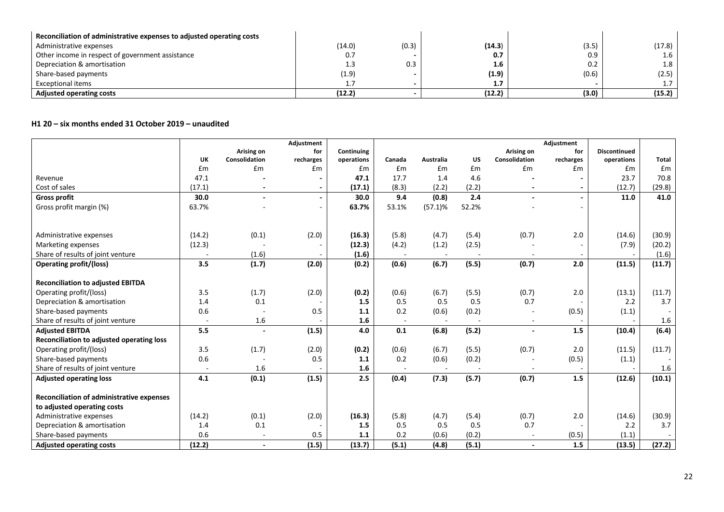| Reconciliation of administrative expenses to adjusted operating costs |        |       |        |       |        |
|-----------------------------------------------------------------------|--------|-------|--------|-------|--------|
| Administrative expenses                                               | (14.0) | (0.3) | (14.3) | (3.5) | (17.8) |
| Other income in respect of government assistance                      | 0.7    |       | 0.7    | 0.9   | 1.6    |
| Depreciation & amortisation                                           | 1.3    | 0.3   | 1.6    | 0.2   | 1.8    |
| Share-based payments                                                  | (1.9)  |       | (1.9)  | (0.6) | (2.5)  |
| Exceptional items                                                     |        |       | 1.7    |       |        |
| <b>Adjusted operating costs</b>                                       | (12.2) |       | (12.2) | (3.0) | (15.2) |

## **H1 20 – six months ended 31 October 2019 – unaudited**

|                                                  |                          |               | Adjustment |            |                          |            |           |                          | Adjustment     |                     |              |
|--------------------------------------------------|--------------------------|---------------|------------|------------|--------------------------|------------|-----------|--------------------------|----------------|---------------------|--------------|
|                                                  |                          | Arising on    | for        | Continuing |                          |            |           | Arising on               | for            | <b>Discontinued</b> |              |
|                                                  | <b>UK</b>                | Consolidation | recharges  | operations | Canada                   | Australia  | <b>US</b> | Consolidation            | recharges      | operations          | <b>Total</b> |
|                                                  | £m                       | £m            | £m         | Em         | £m                       | £m         | £m        | £m                       | £m             | £m                  | £m           |
| Revenue                                          | 47.1                     |               |            | 47.1       | 17.7                     | 1.4        | 4.6       |                          |                | 23.7                | 70.8         |
| Cost of sales                                    | (17.1)                   |               |            | (17.1)     | (8.3)                    | (2.2)      | (2.2)     |                          |                | (12.7)              | (29.8)       |
| <b>Gross profit</b>                              | 30.0                     |               |            | 30.0       | 9.4                      | (0.8)      | 2.4       | $\overline{\phantom{a}}$ | $\blacksquare$ | 11.0                | 41.0         |
| Gross profit margin (%)                          | 63.7%                    |               |            | 63.7%      | 53.1%                    | $(57.1)\%$ | 52.2%     |                          |                |                     |              |
|                                                  |                          |               |            |            |                          |            |           |                          |                |                     |              |
|                                                  |                          |               |            |            |                          |            |           |                          |                |                     |              |
| Administrative expenses                          | (14.2)                   | (0.1)         | (2.0)      | (16.3)     | (5.8)                    | (4.7)      | (5.4)     | (0.7)                    | 2.0            | (14.6)              | (30.9)       |
| Marketing expenses                               | (12.3)                   |               |            | (12.3)     | (4.2)                    | (1.2)      | (2.5)     |                          |                | (7.9)               | (20.2)       |
| Share of results of joint venture                |                          | (1.6)         |            | (1.6)      |                          |            |           |                          |                |                     | (1.6)        |
| <b>Operating profit/(loss)</b>                   | 3.5                      | (1.7)         | (2.0)      | (0.2)      | (0.6)                    | (6.7)      | (5.5)     | (0.7)                    | 2.0            | (11.5)              | (11.7)       |
|                                                  |                          |               |            |            |                          |            |           |                          |                |                     |              |
| <b>Reconciliation to adjusted EBITDA</b>         |                          |               |            |            |                          |            |           |                          |                |                     |              |
| Operating profit/(loss)                          | 3.5                      | (1.7)         | (2.0)      | (0.2)      | (0.6)                    | (6.7)      | (5.5)     | (0.7)                    | 2.0            | (13.1)              | (11.7)       |
| Depreciation & amortisation                      | 1.4                      | 0.1           |            | 1.5        | 0.5                      | 0.5        | 0.5       | 0.7                      |                | 2.2                 | 3.7          |
| Share-based payments                             | 0.6                      |               | 0.5        | 1.1        | 0.2                      | (0.6)      | (0.2)     | $\overline{\phantom{a}}$ | (0.5)          | (1.1)               |              |
| Share of results of joint venture                | $\blacksquare$           | 1.6           |            | 1.6        | $\overline{\phantom{a}}$ | $\sim$     |           | $\overline{\phantom{a}}$ |                |                     | $1.6\,$      |
| <b>Adjusted EBITDA</b>                           | 5.5                      |               | (1.5)      | 4.0        | 0.1                      | (6.8)      | (5.2)     |                          | 1.5            | (10.4)              | (6.4)        |
| Reconciliation to adjusted operating loss        |                          |               |            |            |                          |            |           |                          |                |                     |              |
| Operating profit/(loss)                          | 3.5                      | (1.7)         | (2.0)      | (0.2)      | (0.6)                    | (6.7)      | (5.5)     | (0.7)                    | 2.0            | (11.5)              | (11.7)       |
| Share-based payments                             | 0.6                      |               | 0.5        | 1.1        | 0.2                      | (0.6)      | (0.2)     |                          | (0.5)          | (1.1)               |              |
| Share of results of joint venture                | $\overline{\phantom{a}}$ | 1.6           |            | 1.6        |                          | $\sim$     |           |                          |                |                     | 1.6          |
| <b>Adjusted operating loss</b>                   | 4.1                      | (0.1)         | (1.5)      | 2.5        | (0.4)                    | (7.3)      | (5.7)     | (0.7)                    | 1.5            | (12.6)              | (10.1)       |
|                                                  |                          |               |            |            |                          |            |           |                          |                |                     |              |
| <b>Reconciliation of administrative expenses</b> |                          |               |            |            |                          |            |           |                          |                |                     |              |
| to adjusted operating costs                      |                          |               |            |            |                          |            |           |                          |                |                     |              |
| Administrative expenses                          | (14.2)                   | (0.1)         | (2.0)      | (16.3)     | (5.8)                    | (4.7)      | (5.4)     | (0.7)                    | 2.0            | (14.6)              | (30.9)       |
| Depreciation & amortisation                      | 1.4                      | 0.1           |            | 1.5        | 0.5                      | 0.5        | 0.5       | 0.7                      |                | 2.2                 | 3.7          |
| Share-based payments                             | 0.6                      |               | 0.5        | 1.1        | 0.2                      | (0.6)      | (0.2)     | $\overline{\phantom{a}}$ | (0.5)          | (1.1)               |              |
| <b>Adjusted operating costs</b>                  | (12.2)                   |               | (1.5)      | (13.7)     | (5.1)                    | (4.8)      | (5.1)     | $\blacksquare$           | 1.5            | (13.5)              | (27.2)       |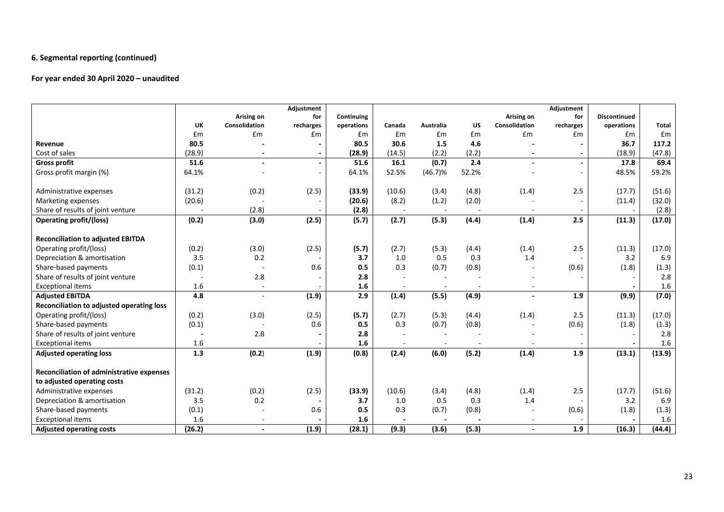### **6. Segmental reporting (continued)**

## **For year ended 30 April 2020 – unaudited**

|                                           |           |                | Adjustment     |            |        |                          |           |               | Adjustment |                     |              |
|-------------------------------------------|-----------|----------------|----------------|------------|--------|--------------------------|-----------|---------------|------------|---------------------|--------------|
|                                           |           | Arising on     | for            | Continuing |        |                          |           | Arising on    | for        | <b>Discontinued</b> |              |
|                                           | <b>UK</b> | Consolidation  | recharges      | operations | Canada | Australia                | <b>US</b> | Consolidation | recharges  | operations          | <b>Total</b> |
|                                           | £m        | £m             | £m             | £m         | £m     | £m                       | £m        | £m            | £m         | £m                  | £m           |
| Revenue                                   | 80.5      |                |                | 80.5       | 30.6   | 1.5                      | 4.6       |               |            | 36.7                | 117.2        |
| Cost of sales                             | (28.9)    |                |                | (28.9)     | (14.5) | (2.2)                    | (2.2)     |               |            | (18.9)              | (47.8)       |
| <b>Gross profit</b>                       | 51.6      |                | $\blacksquare$ | 51.6       | 16.1   | (0.7)                    | 2.4       |               |            | 17.8                | 69.4         |
| Gross profit margin (%)                   | 64.1%     |                |                | 64.1%      | 52.5%  | $(46.7)\%$               | 52.2%     |               |            | 48.5%               | 59.2%        |
|                                           |           |                |                |            |        |                          |           |               |            |                     |              |
| Administrative expenses                   | (31.2)    | (0.2)          | (2.5)          | (33.9)     | (10.6) | (3.4)                    | (4.8)     | (1.4)         | 2.5        | (17.7)              | (51.6)       |
| Marketing expenses                        | (20.6)    |                |                | (20.6)     | (8.2)  | (1.2)                    | (2.0)     |               |            | (11.4)              | (32.0)       |
| Share of results of joint venture         |           | (2.8)          |                | (2.8)      | $\sim$ | $\overline{a}$           |           |               |            |                     | (2.8)        |
| <b>Operating profit/(loss)</b>            | (0.2)     | (3.0)          | (2.5)          | (5.7)      | (2.7)  | (5.3)                    | (4.4)     | (1.4)         | 2.5        | (11.3)              | (17.0)       |
|                                           |           |                |                |            |        |                          |           |               |            |                     |              |
| <b>Reconciliation to adjusted EBITDA</b>  |           |                |                |            |        |                          |           |               |            |                     |              |
| Operating profit/(loss)                   | (0.2)     | (3.0)          | (2.5)          | (5.7)      | (2.7)  | (5.3)                    | (4.4)     | (1.4)         | 2.5        | (11.3)              | (17.0)       |
| Depreciation & amortisation               | 3.5       | 0.2            |                | 3.7        | 1.0    | 0.5                      | 0.3       | 1.4           |            | 3.2                 | 6.9          |
| Share-based payments                      | (0.1)     |                | 0.6            | 0.5        | 0.3    | (0.7)                    | (0.8)     |               | (0.6)      | (1.8)               | (1.3)        |
| Share of results of joint venture         |           | 2.8            |                | 2.8        |        |                          |           |               |            |                     | 2.8          |
| <b>Exceptional items</b>                  | 1.6       | $\blacksquare$ |                | 1.6        |        | $\overline{\phantom{a}}$ |           |               |            |                     | 1.6          |
| <b>Adjusted EBITDA</b>                    | 4.8       | $\overline{a}$ | (1.9)          | 2.9        | (1.4)  | (5.5)                    | (4.9)     |               | 1.9        | (9.9)               | (7.0)        |
| Reconciliation to adjusted operating loss |           |                |                |            |        |                          |           |               |            |                     |              |
| Operating profit/(loss)                   | (0.2)     | (3.0)          | (2.5)          | (5.7)      | (2.7)  | (5.3)                    | (4.4)     | (1.4)         | 2.5        | (11.3)              | (17.0)       |
| Share-based payments                      | (0.1)     |                | 0.6            | 0.5        | 0.3    | (0.7)                    | (0.8)     |               | (0.6)      | (1.8)               | (1.3)        |
| Share of results of joint venture         |           | 2.8            |                | 2.8        |        |                          |           |               |            |                     | 2.8          |
| <b>Exceptional items</b>                  | 1.6       |                |                | 1.6        |        | $\overline{\phantom{a}}$ |           |               |            |                     | 1.6          |
| <b>Adjusted operating loss</b>            | 1.3       | (0.2)          | (1.9)          | (0.8)      | (2.4)  | (6.0)                    | (5.2)     | (1.4)         | 1.9        | (13.1)              | (13.9)       |
|                                           |           |                |                |            |        |                          |           |               |            |                     |              |
| Reconciliation of administrative expenses |           |                |                |            |        |                          |           |               |            |                     |              |
| to adjusted operating costs               |           |                |                |            |        |                          |           |               |            |                     |              |
| Administrative expenses                   | (31.2)    | (0.2)          | (2.5)          | (33.9)     | (10.6) | (3.4)                    | (4.8)     | (1.4)         | 2.5        | (17.7)              | (51.6)       |
| Depreciation & amortisation               | 3.5       | 0.2            |                | 3.7        | 1.0    | 0.5                      | 0.3       | 1.4           |            | 3.2                 | 6.9          |
| Share-based payments                      | (0.1)     |                | 0.6            | 0.5        | 0.3    | (0.7)                    | (0.8)     |               | (0.6)      | (1.8)               | (1.3)        |
| <b>Exceptional items</b>                  | 1.6       |                |                | 1.6        |        | $\overline{\phantom{a}}$ |           |               |            |                     | 1.6          |
| <b>Adjusted operating costs</b>           | (26.2)    |                | (1.9)          | (28.1)     | (9.3)  | (3.6)                    | (5.3)     |               | 1.9        | (16.3)              | (44.4)       |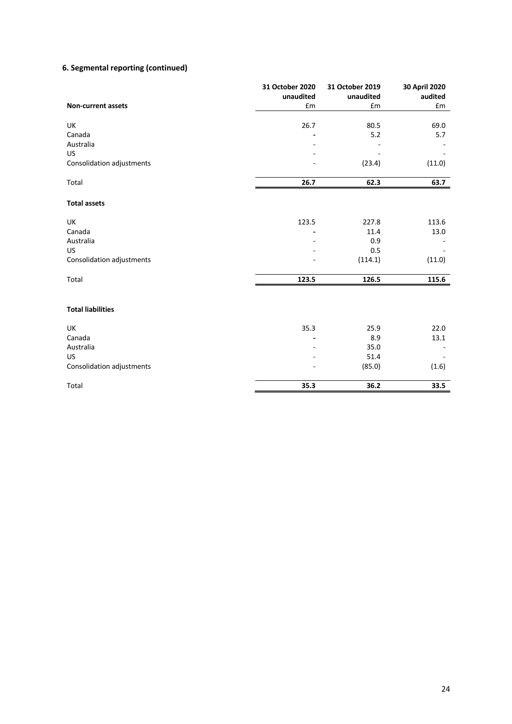# **6. Segmental reporting (continued)**

|                           | 31 October 2020 | 31 October 2019 | 30 April 2020      |
|---------------------------|-----------------|-----------------|--------------------|
|                           | unaudited       | unaudited       | audited            |
| <b>Non-current assets</b> | £m              | £m              | $\pmb{\epsilon}$ m |
| UK                        | 26.7            | 80.5            | 69.0               |
| Canada                    |                 | 5.2             | 5.7                |
| Australia                 |                 |                 |                    |
| <b>US</b>                 |                 |                 |                    |
| Consolidation adjustments |                 | (23.4)          | (11.0)             |
| Total                     | 26.7            | 62.3            | 63.7               |
| <b>Total assets</b>       |                 |                 |                    |
| UK                        | 123.5           | 227.8           | 113.6              |
| Canada                    |                 | 11.4            | 13.0               |
| Australia                 |                 | 0.9             |                    |
| <b>US</b>                 |                 | 0.5             |                    |
| Consolidation adjustments |                 | (114.1)         | (11.0)             |
| Total                     | 123.5           | 126.5           | 115.6              |
| <b>Total liabilities</b>  |                 |                 |                    |
| UK                        | 35.3            | 25.9            | 22.0               |
| Canada                    |                 | 8.9             | 13.1               |
| Australia                 |                 | 35.0            |                    |
| <b>US</b>                 |                 | 51.4            |                    |
| Consolidation adjustments |                 | (85.0)          | (1.6)              |
| Total                     | 35.3            | 36.2            | 33.5               |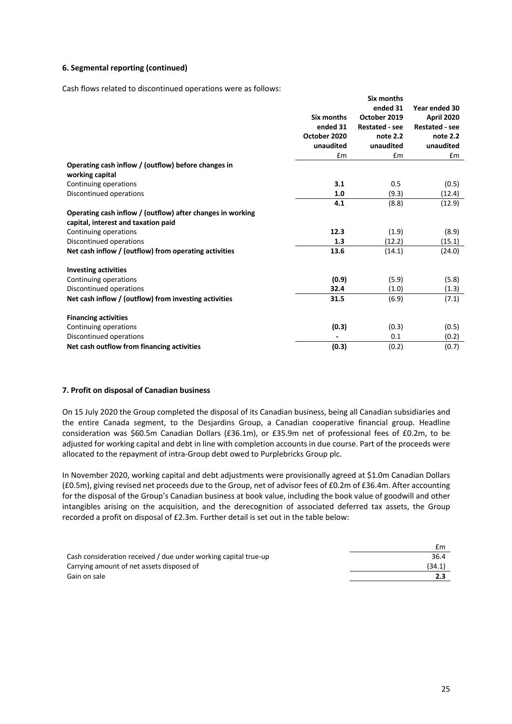#### **6. Segmental reporting (continued)**

Cash flows related to discontinued operations were as follows:

|                                                                                                   |              | Six months            |                       |
|---------------------------------------------------------------------------------------------------|--------------|-----------------------|-----------------------|
|                                                                                                   |              | ended 31              | Year ended 30         |
|                                                                                                   | Six months   | October 2019          | April 2020            |
|                                                                                                   | ended 31     | <b>Restated - see</b> | <b>Restated - see</b> |
|                                                                                                   | October 2020 | note 2.2              | note 2.2              |
|                                                                                                   | unaudited    | unaudited             | unaudited             |
|                                                                                                   | £m           | £m                    | Em                    |
| Operating cash inflow / (outflow) before changes in<br>working capital                            |              |                       |                       |
| Continuing operations                                                                             | 3.1          | 0.5                   | (0.5)                 |
| Discontinued operations                                                                           | 1.0          | (9.3)                 | (12.4)                |
|                                                                                                   | 4.1          | (8.8)                 | (12.9)                |
| Operating cash inflow / (outflow) after changes in working<br>capital, interest and taxation paid |              |                       |                       |
| Continuing operations                                                                             | 12.3         | (1.9)                 | (8.9)                 |
| Discontinued operations                                                                           | 1.3          | (12.2)                | (15.1)                |
| Net cash inflow / (outflow) from operating activities                                             | 13.6         | (14.1)                | (24.0)                |
| <b>Investing activities</b>                                                                       |              |                       |                       |
| Continuing operations                                                                             | (0.9)        | (5.9)                 | (5.8)                 |
| Discontinued operations                                                                           | 32.4         | (1.0)                 | (1.3)                 |
| Net cash inflow / (outflow) from investing activities                                             | 31.5         | (6.9)                 | (7.1)                 |
| <b>Financing activities</b>                                                                       |              |                       |                       |
| Continuing operations                                                                             | (0.3)        | (0.3)                 | (0.5)                 |
| Discontinued operations                                                                           |              | 0.1                   | (0.2)                 |
| Net cash outflow from financing activities                                                        | (0.3)        | (0.2)                 | (0.7)                 |

#### **7. Profit on disposal of Canadian business**

On 15 July 2020 the Group completed the disposal of its Canadian business, being all Canadian subsidiaries and the entire Canada segment, to the Desjardins Group, a Canadian cooperative financial group. Headline consideration was \$60.5m Canadian Dollars (£36.1m), or £35.9m net of professional fees of £0.2m, to be adjusted for working capital and debt in line with completion accounts in due course. Part of the proceeds were allocated to the repayment of intra-Group debt owed to Purplebricks Group plc.

In November 2020, working capital and debt adjustments were provisionally agreed at \$1.0m Canadian Dollars (£0.5m), giving revised net proceeds due to the Group, net of advisor fees of £0.2m of £36.4m. After accounting for the disposal of the Group's Canadian business at book value, including the book value of goodwill and other intangibles arising on the acquisition, and the derecognition of associated deferred tax assets, the Group recorded a profit on disposal of £2.3m. Further detail is set out in the table below:

|                                                                 | £m     |
|-----------------------------------------------------------------|--------|
| Cash consideration received / due under working capital true-up | 36.4   |
| Carrying amount of net assets disposed of                       | (34.1) |
| Gain on sale                                                    |        |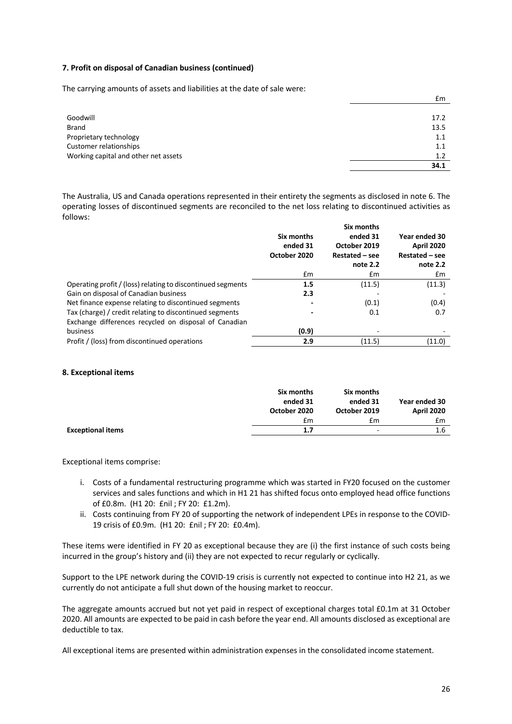#### **7. Profit on disposal of Canadian business (continued)**

The carrying amounts of assets and liabilities at the date of sale were:

|                                      | 34.1 |
|--------------------------------------|------|
| Working capital and other net assets | 1.2  |
| Customer relationships               | 1.1  |
| Proprietary technology               | 1.1  |
| Brand                                | 13.5 |
| Goodwill                             | 17.2 |
|                                      |      |
|                                      | £m   |

The Australia, US and Canada operations represented in their entirety the segments as disclosed in note 6. The operating losses of discontinued segments are reconciled to the net loss relating to discontinued activities as follows:

|                                                             | Six months<br>ended 31<br>October 2020 | Six months<br>ended 31<br>October 2019<br>Restated – see<br>note 2.2 | Year ended 30<br><b>April 2020</b><br>Restated – see<br>note 2.2 |
|-------------------------------------------------------------|----------------------------------------|----------------------------------------------------------------------|------------------------------------------------------------------|
|                                                             | $\mathsf{fm}$                          | £m                                                                   | £m                                                               |
| Operating profit / (loss) relating to discontinued segments | 1.5                                    | (11.5)                                                               | (11.3)                                                           |
| Gain on disposal of Canadian business                       | 2.3                                    |                                                                      |                                                                  |
| Net finance expense relating to discontinued segments       |                                        | (0.1)                                                                | (0.4)                                                            |
| Tax (charge) / credit relating to discontinued segments     |                                        | 0.1                                                                  | 0.7                                                              |
| Exchange differences recycled on disposal of Canadian       |                                        |                                                                      |                                                                  |
| business                                                    | (0.9)                                  |                                                                      |                                                                  |
| Profit / (loss) from discontinued operations                | 2.9                                    | (11.5)                                                               | (11.0)                                                           |

#### **8. Exceptional items**

|                          | Six months<br>ended 31<br>October 2020 | Six months<br>ended 31<br>October 2019 | Year ended 30<br><b>April 2020</b> |
|--------------------------|----------------------------------------|----------------------------------------|------------------------------------|
|                          | £m                                     | £m                                     | £m                                 |
| <b>Exceptional items</b> | 1.7                                    | $\overline{\phantom{0}}$               | 1.6                                |

Exceptional items comprise:

- i. Costs of a fundamental restructuring programme which was started in FY20 focused on the customer services and sales functions and which in H1 21 has shifted focus onto employed head office functions of £0.8m. (H1 20: £nil ; FY 20: £1.2m).
- ii. Costs continuing from FY 20 of supporting the network of independent LPEs in response to the COVID-19 crisis of £0.9m. (H1 20: £nil ; FY 20: £0.4m).

These items were identified in FY 20 as exceptional because they are (i) the first instance of such costs being incurred in the group's history and (ii) they are not expected to recur regularly or cyclically.

Support to the LPE network during the COVID-19 crisis is currently not expected to continue into H2 21, as we currently do not anticipate a full shut down of the housing market to reoccur.

The aggregate amounts accrued but not yet paid in respect of exceptional charges total £0.1m at 31 October 2020. All amounts are expected to be paid in cash before the year end. All amounts disclosed as exceptional are deductible to tax.

All exceptional items are presented within administration expenses in the consolidated income statement.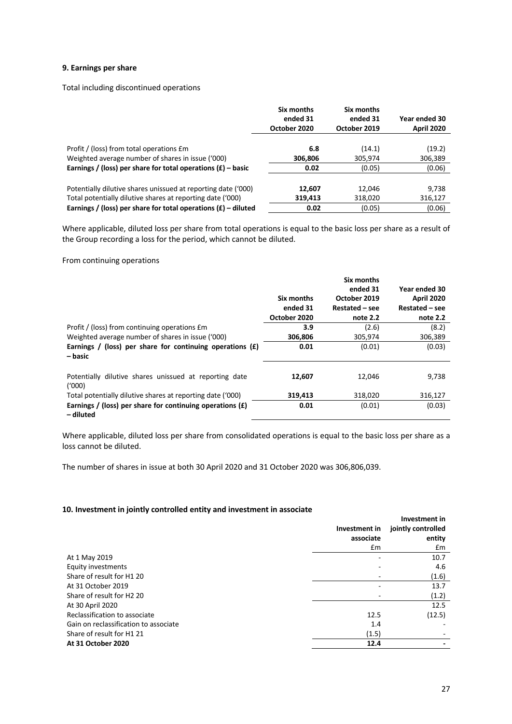#### **9. Earnings per share**

Total including discontinued operations

|                                                                                               | Six months<br>ended 31<br>October 2020 | Six months<br>ended 31<br>October 2019 | Year ended 30<br>April 2020 |
|-----------------------------------------------------------------------------------------------|----------------------------------------|----------------------------------------|-----------------------------|
|                                                                                               |                                        |                                        |                             |
| Profit / (loss) from total operations £m<br>Weighted average number of shares in issue ('000) | 6.8<br>306,806                         | (14.1)<br>305,974                      | (19.2)<br>306,389           |
| Earnings / (loss) per share for total operations $(E)$ – basic                                | 0.02                                   | (0.05)                                 | (0.06)                      |
|                                                                                               |                                        |                                        |                             |
| Potentially dilutive shares unissued at reporting date ('000)                                 | 12.607                                 | 12.046                                 | 9,738                       |
| Total potentially dilutive shares at reporting date ('000)                                    | 319,413                                | 318,020                                | 316,127                     |
| Earnings / (loss) per share for total operations $(f)$ – diluted                              | 0.02                                   | (0.05)                                 | (0.06)                      |

Where applicable, diluted loss per share from total operations is equal to the basic loss per share as a result of the Group recording a loss for the period, which cannot be diluted.

#### From continuing operations

|                                                                          | Six months<br>ended 31<br>October 2020 | Six months<br>ended 31<br>October 2019<br>Restated – see<br>note 2.2 | Year ended 30<br><b>April 2020</b><br>Restated – see<br>note 2.2 |
|--------------------------------------------------------------------------|----------------------------------------|----------------------------------------------------------------------|------------------------------------------------------------------|
| Profit / (loss) from continuing operations £m                            | 3.9                                    | (2.6)                                                                | (8.2)                                                            |
| Weighted average number of shares in issue ('000)                        | 306,806                                | 305,974                                                              | 306,389                                                          |
| Earnings / (loss) per share for continuing operations $(E)$<br>– basic   | 0.01                                   | (0.01)                                                               | (0.03)                                                           |
| Potentially dilutive shares unissued at reporting date<br>(1000)         | 12,607                                 | 12.046                                                               | 9,738                                                            |
| Total potentially dilutive shares at reporting date ('000)               | 319,413                                | 318.020                                                              | 316,127                                                          |
| Earnings / (loss) per share for continuing operations $(E)$<br>– diluted | 0.01                                   | (0.01)                                                               | (0.03)                                                           |

Where applicable, diluted loss per share from consolidated operations is equal to the basic loss per share as a loss cannot be diluted.

The number of shares in issue at both 30 April 2020 and 31 October 2020 was 306,806,039.

#### **10. Investment in jointly controlled entity and investment in associate**

|                                       | Investment in | Investment in<br>jointly controlled |  |
|---------------------------------------|---------------|-------------------------------------|--|
|                                       | associate     | entity                              |  |
|                                       | £m            | £m                                  |  |
| At 1 May 2019                         |               | 10.7                                |  |
| Equity investments                    |               | 4.6                                 |  |
| Share of result for H1 20             |               | (1.6)                               |  |
| At 31 October 2019                    |               | 13.7                                |  |
| Share of result for H2 20             |               | (1.2)                               |  |
| At 30 April 2020                      |               | 12.5                                |  |
| Reclassification to associate         | 12.5          | (12.5)                              |  |
| Gain on reclassification to associate | 1.4           |                                     |  |
| Share of result for H1 21             | (1.5)         |                                     |  |
| At 31 October 2020                    | 12.4          |                                     |  |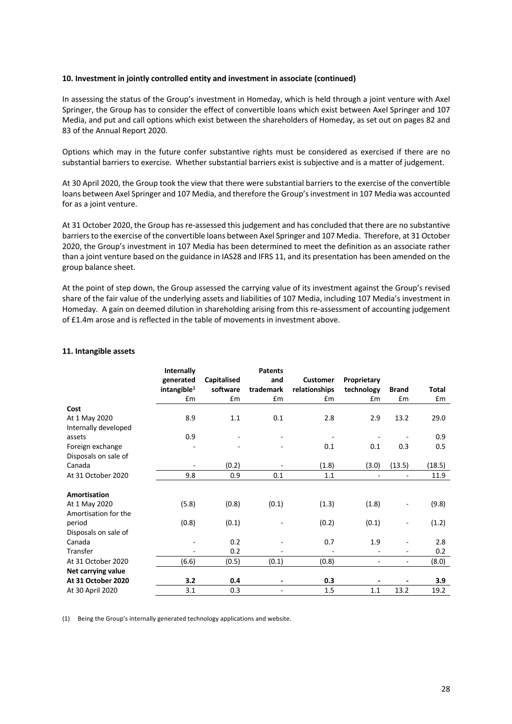#### **10. Investment in jointly controlled entity and investment in associate (continued)**

In assessing the status of the Group's investment in Homeday, which is held through a joint venture with Axel Springer, the Group has to consider the effect of convertible loans which exist between Axel Springer and 107 Media, and put and call options which exist between the shareholders of Homeday, as set out on pages 82 and 83 of the Annual Report 2020.

Options which may in the future confer substantive rights must be considered as exercised if there are no substantial barriers to exercise. Whether substantial barriers exist is subjective and is a matter of judgement.

At 30 April 2020, the Group took the view that there were substantial barriers to the exercise of the convertible loans between Axel Springer and 107 Media, and therefore the Group's investment in 107 Media was accounted for as a joint venture.

At 31 October 2020, the Group has re-assessed this judgement and has concluded that there are no substantive barriers to the exercise of the convertible loans between Axel Springer and 107 Media. Therefore, at 31 October 2020, the Group's investment in 107 Media has been determined to meet the definition as an associate rather than a joint venture based on the guidance in IAS28 and IFRS 11, and its presentation has been amended on the group balance sheet.

At the point of step down, the Group assessed the carrying value of its investment against the Group's revised share of the fair value of the underlying assets and liabilities of 107 Media, including 107 Media's investment in Homeday. A gain on deemed dilution in shareholding arising from this re-assessment of accounting judgement of £1.4m arose and is reflected in the table of movements in investment above.

#### **11. Intangible assets**

|                      | Internally                           |                         | <b>Patents</b>   |                                  |                           |                              |              |
|----------------------|--------------------------------------|-------------------------|------------------|----------------------------------|---------------------------|------------------------------|--------------|
|                      | generated<br>intangible <sup>1</sup> | Capitalised<br>software | and<br>trademark | <b>Customer</b><br>relationships | Proprietary<br>technology | <b>Brand</b>                 | <b>Total</b> |
|                      | £m                                   | £m                      | £m               | £m                               | Em                        | £m                           | £m           |
| Cost                 |                                      |                         |                  |                                  |                           |                              |              |
| At 1 May 2020        | 8.9                                  | 1.1                     | 0.1              | 2.8                              | 2.9                       | 13.2                         | 29.0         |
| Internally developed |                                      |                         |                  |                                  |                           |                              |              |
| assets               | 0.9                                  |                         |                  |                                  |                           |                              | 0.9          |
| Foreign exchange     |                                      |                         |                  | 0.1                              | 0.1                       | 0.3                          | 0.5          |
| Disposals on sale of |                                      |                         |                  |                                  |                           |                              |              |
| Canada               |                                      | (0.2)                   |                  | (1.8)                            | (3.0)                     | (13.5)                       | (18.5)       |
| At 31 October 2020   | 9.8                                  | 0.9                     | 0.1              | 1.1                              |                           | $\overline{\phantom{m}}$     | 11.9         |
|                      |                                      |                         |                  |                                  |                           |                              |              |
| Amortisation         |                                      |                         |                  |                                  |                           |                              |              |
| At 1 May 2020        | (5.8)                                | (0.8)                   | (0.1)            | (1.3)                            | (1.8)                     |                              | (9.8)        |
| Amortisation for the |                                      |                         |                  |                                  |                           |                              |              |
| period               | (0.8)                                | (0.1)                   |                  | (0.2)                            | (0.1)                     |                              | (1.2)        |
| Disposals on sale of |                                      |                         |                  |                                  |                           |                              |              |
| Canada               | $\overline{\phantom{a}}$             | 0.2                     |                  | 0.7                              | 1.9                       | $\qquad \qquad \blacksquare$ | 2.8          |
| Transfer             |                                      | 0.2                     |                  |                                  |                           | $\overline{\phantom{0}}$     | 0.2          |
| At 31 October 2020   | (6.6)                                | (0.5)                   | (0.1)            | (0.8)                            |                           | $\overline{\phantom{0}}$     | (8.0)        |
| Net carrying value   |                                      |                         |                  |                                  |                           |                              |              |
| At 31 October 2020   | 3.2                                  | 0.4                     |                  | 0.3                              |                           |                              | 3.9          |
| At 30 April 2020     | 3.1                                  | 0.3                     |                  | 1.5                              | 1.1                       | 13.2                         | 19.2         |

(1) Being the Group's internally generated technology applications and website.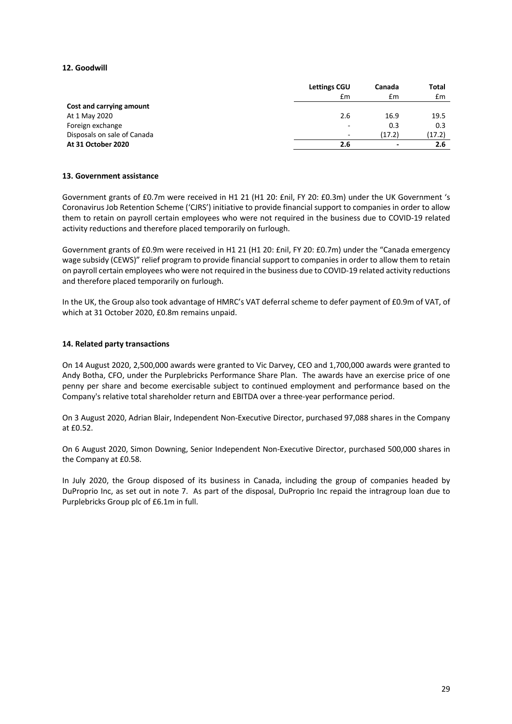### **12. Goodwill**

|                             | <b>Lettings CGU</b>      | Canada                   | Total  |
|-----------------------------|--------------------------|--------------------------|--------|
|                             | £m                       | £m                       | £m     |
| Cost and carrying amount    |                          |                          |        |
| At 1 May 2020               | 2.6                      | 16.9                     | 19.5   |
| Foreign exchange            | $\overline{\phantom{0}}$ | 0.3                      | 0.3    |
| Disposals on sale of Canada | -                        | (17.2)                   | (17.2) |
| At 31 October 2020          | 2.6                      | $\overline{\phantom{a}}$ | 2.6    |

#### **13. Government assistance**

Government grants of £0.7m were received in H1 21 (H1 20: £nil, FY 20: £0.3m) under the UK Government 's Coronavirus Job Retention Scheme ('CJRS') initiative to provide financial support to companies in order to allow them to retain on payroll certain employees who were not required in the business due to COVID-19 related activity reductions and therefore placed temporarily on furlough.

Government grants of £0.9m were received in H1 21 (H1 20: £nil, FY 20: £0.7m) under the "Canada emergency wage subsidy (CEWS)" relief program to provide financial support to companies in order to allow them to retain on payroll certain employees who were not required in the business due to COVID-19 related activity reductions and therefore placed temporarily on furlough.

In the UK, the Group also took advantage of HMRC's VAT deferral scheme to defer payment of £0.9m of VAT, of which at 31 October 2020, £0.8m remains unpaid.

#### **14. Related party transactions**

On 14 August 2020, 2,500,000 awards were granted to Vic Darvey, CEO and 1,700,000 awards were granted to Andy Botha, CFO, under the Purplebricks Performance Share Plan. The awards have an exercise price of one penny per share and become exercisable subject to continued employment and performance based on the Company's relative total shareholder return and EBITDA over a three-year performance period.

On 3 August 2020, Adrian Blair, Independent Non-Executive Director, purchased 97,088 shares in the Company at £0.52.

On 6 August 2020, Simon Downing, Senior Independent Non-Executive Director, purchased 500,000 shares in the Company at £0.58.

In July 2020, the Group disposed of its business in Canada, including the group of companies headed by DuProprio Inc, as set out in note 7. As part of the disposal, DuProprio Inc repaid the intragroup loan due to Purplebricks Group plc of £6.1m in full.